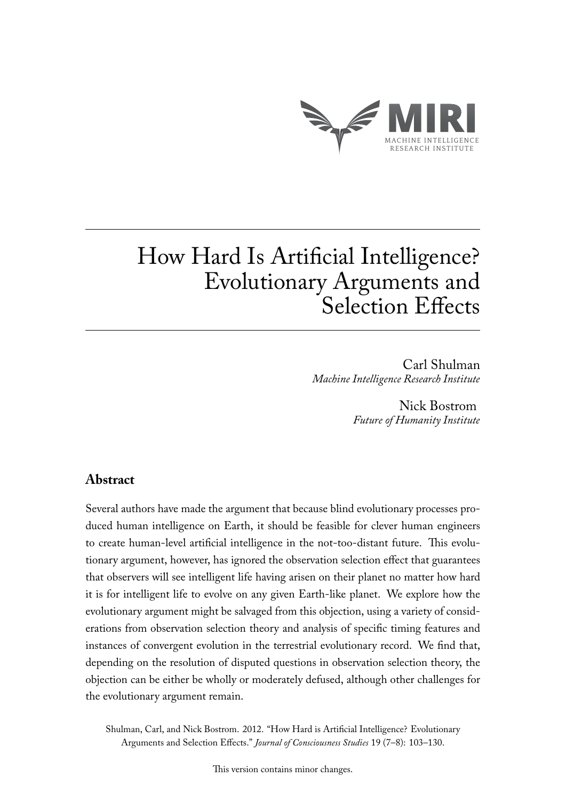

# How Hard Is Artificial Intelligence? Evolutionary Arguments and Selection Effects

Carl Shulman *Machine Intelligence Research Institute*

> Nick Bostrom *Future of Humanity Institute*

## **Abstract**

Several authors have made the argument that because blind evolutionary processes produced human intelligence on Earth, it should be feasible for clever human engineers to create human-level artificial intelligence in the not-too-distant future. This evolutionary argument, however, has ignored the observation selection effect that guarantees that observers will see intelligent life having arisen on their planet no matter how hard it is for intelligent life to evolve on any given Earth-like planet. We explore how the evolutionary argument might be salvaged from this objection, using a variety of considerations from observation selection theory and analysis of specific timing features and instances of convergent evolution in the terrestrial evolutionary record. We find that, depending on the resolution of disputed questions in observation selection theory, the objection can be either be wholly or moderately defused, although other challenges for the evolutionary argument remain.

Shulman, Carl, and Nick Bostrom. 2012. "How Hard is Artificial Intelligence? Evolutionary Arguments and Selection Effects." *Journal of Consciousness Studies* 19 (7–8): 103–130.

This version contains minor changes.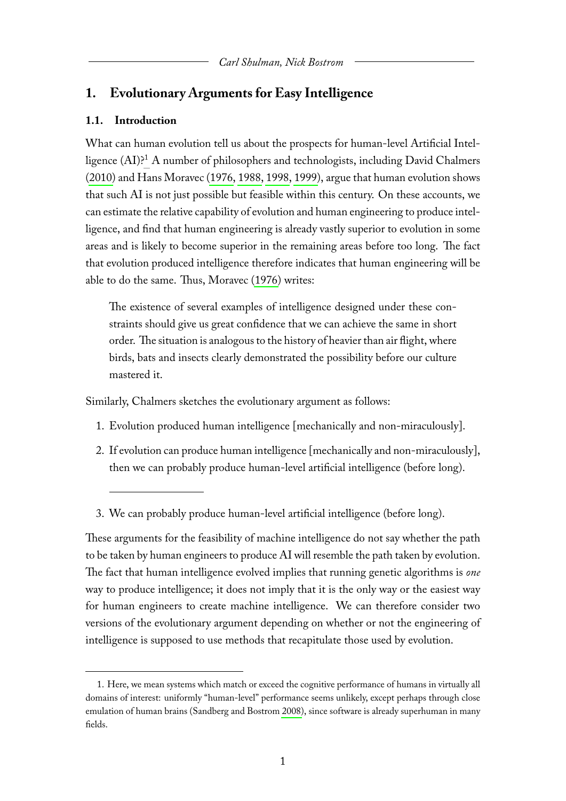# **1. Evolutionary Arguments for Easy Intelligence**

## **1.1. Introduction**

What can human evolution tell us about the prospects for human-level Artificial Intelligence (AI)?[1](#page-1-0) A number of philosophers and technologists, including David Chalmers [\(2010\)](#page-24-0) and Hans Moravec [\(1976,](#page-25-0) [1988,](#page-25-1) [1998,](#page-25-2) [1999\)](#page-25-3), argue that human evolution shows that such AI is not just possible but feasible within this century. On these accounts, we can estimate the relative capability of evolution and human engineering to produce intelligence, and find that human engineering is already vastly superior to evolution in some areas and is likely to become superior in the remaining areas before too long. The fact that evolution produced intelligence therefore indicates that human engineering will be able to do the same. Thus, Moravec [\(1976\)](#page-25-0) writes:

The existence of several examples of intelligence designed under these constraints should give us great confidence that we can achieve the same in short order. The situation is analogous to the history of heavier than air flight, where birds, bats and insects clearly demonstrated the possibility before our culture mastered it.

Similarly, Chalmers sketches the evolutionary argument as follows:

- 1. Evolution produced human intelligence [mechanically and non-miraculously].
- 2. If evolution can produce human intelligence [mechanically and non-miraculously], then we can probably produce human-level artificial intelligence (before long).
- 3. We can probably produce human-level artificial intelligence (before long).

These arguments for the feasibility of machine intelligence do not say whether the path to be taken by human engineers to produce AI will resemble the path taken by evolution. The fact that human intelligence evolved implies that running genetic algorithms is *one* way to produce intelligence; it does not imply that it is the only way or the easiest way for human engineers to create machine intelligence. We can therefore consider two versions of the evolutionary argument depending on whether or not the engineering of intelligence is supposed to use methods that recapitulate those used by evolution.

<span id="page-1-0"></span><sup>1.</sup> Here, we mean systems which match or exceed the cognitive performance of humans in virtually all domains of interest: uniformly "human-level" performance seems unlikely, except perhaps through close emulation of human brains (Sandberg and Bostrom [2008\)](#page-26-0), since software is already superhuman in many fields.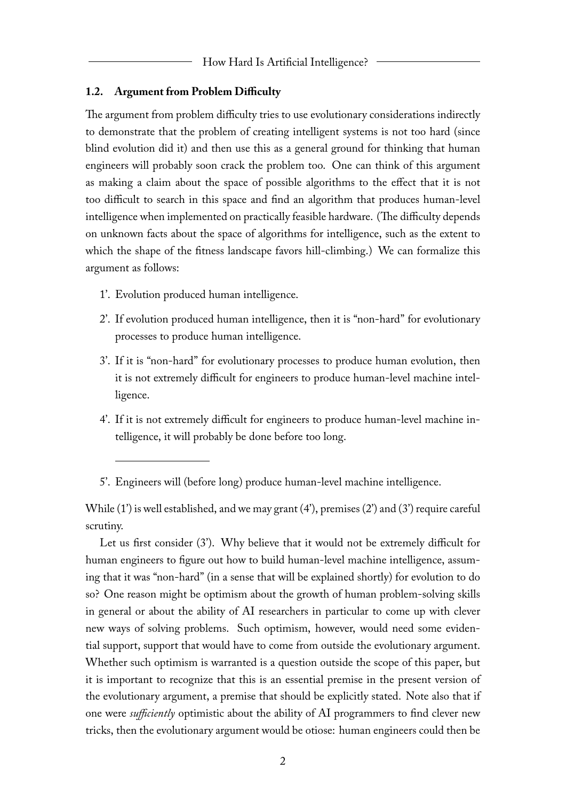#### **1.2. Argument from Problem Difficulty**

The argument from problem difficulty tries to use evolutionary considerations indirectly to demonstrate that the problem of creating intelligent systems is not too hard (since blind evolution did it) and then use this as a general ground for thinking that human engineers will probably soon crack the problem too. One can think of this argument as making a claim about the space of possible algorithms to the effect that it is not too difficult to search in this space and find an algorithm that produces human-level intelligence when implemented on practically feasible hardware. (The difficulty depends on unknown facts about the space of algorithms for intelligence, such as the extent to which the shape of the fitness landscape favors hill-climbing.) We can formalize this argument as follows:

- 1'. Evolution produced human intelligence.
- 2'. If evolution produced human intelligence, then it is "non-hard" for evolutionary processes to produce human intelligence.
- 3'. If it is "non-hard" for evolutionary processes to produce human evolution, then it is not extremely difficult for engineers to produce human-level machine intelligence.
- 4'. If it is not extremely difficult for engineers to produce human-level machine intelligence, it will probably be done before too long.

5'. Engineers will (before long) produce human-level machine intelligence.

While (1') is well established, and we may grant (4'), premises (2') and (3') require careful scrutiny.

Let us first consider (3'). Why believe that it would not be extremely difficult for human engineers to figure out how to build human-level machine intelligence, assuming that it was "non-hard" (in a sense that will be explained shortly) for evolution to do so? One reason might be optimism about the growth of human problem-solving skills in general or about the ability of AI researchers in particular to come up with clever new ways of solving problems. Such optimism, however, would need some evidential support, support that would have to come from outside the evolutionary argument. Whether such optimism is warranted is a question outside the scope of this paper, but it is important to recognize that this is an essential premise in the present version of the evolutionary argument, a premise that should be explicitly stated. Note also that if one were *sufficiently* optimistic about the ability of AI programmers to find clever new tricks, then the evolutionary argument would be otiose: human engineers could then be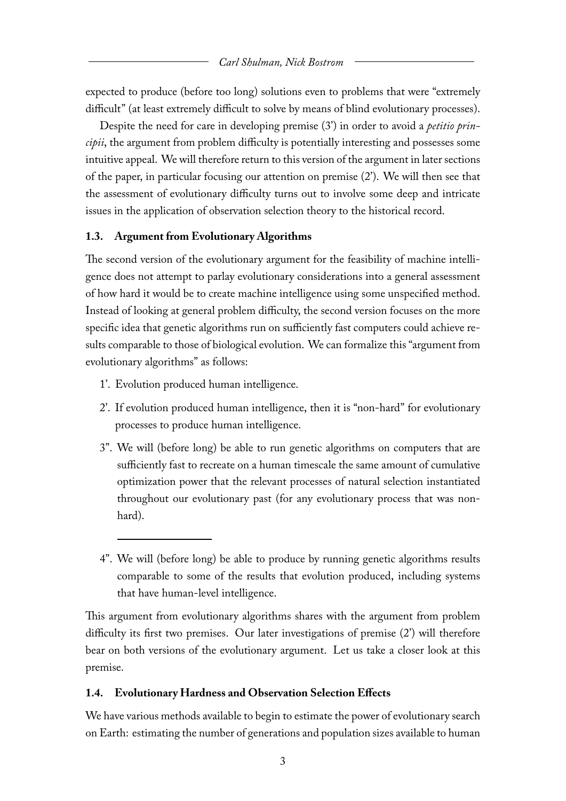expected to produce (before too long) solutions even to problems that were "extremely difficult" (at least extremely difficult to solve by means of blind evolutionary processes).

Despite the need for care in developing premise (3') in order to avoid a *petitio principii*, the argument from problem difficulty is potentially interesting and possesses some intuitive appeal. We will therefore return to this version of the argument in later sections of the paper, in particular focusing our attention on premise (2'). We will then see that the assessment of evolutionary difficulty turns out to involve some deep and intricate issues in the application of observation selection theory to the historical record.

#### **1.3. Argument from Evolutionary Algorithms**

The second version of the evolutionary argument for the feasibility of machine intelligence does not attempt to parlay evolutionary considerations into a general assessment of how hard it would be to create machine intelligence using some unspecified method. Instead of looking at general problem difficulty, the second version focuses on the more specific idea that genetic algorithms run on sufficiently fast computers could achieve results comparable to those of biological evolution. We can formalize this "argument from evolutionary algorithms" as follows:

- 1'. Evolution produced human intelligence.
- 2'. If evolution produced human intelligence, then it is "non-hard" for evolutionary processes to produce human intelligence.
- 3". We will (before long) be able to run genetic algorithms on computers that are sufficiently fast to recreate on a human timescale the same amount of cumulative optimization power that the relevant processes of natural selection instantiated throughout our evolutionary past (for any evolutionary process that was nonhard).
- 4". We will (before long) be able to produce by running genetic algorithms results comparable to some of the results that evolution produced, including systems that have human-level intelligence.

This argument from evolutionary algorithms shares with the argument from problem difficulty its first two premises. Our later investigations of premise (2') will therefore bear on both versions of the evolutionary argument. Let us take a closer look at this premise.

#### **1.4. Evolutionary Hardness and Observation Selection Effects**

We have various methods available to begin to estimate the power of evolutionary search on Earth: estimating the number of generations and population sizes available to human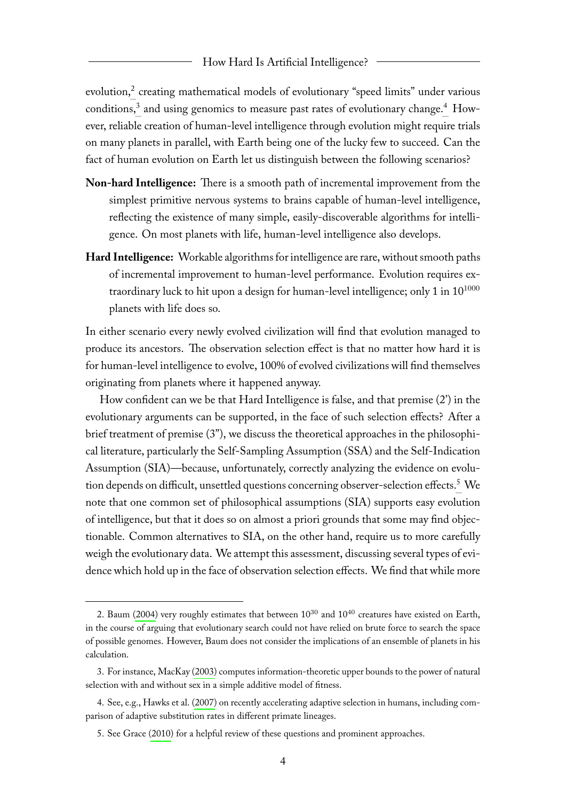evolution,<sup>[2](#page-4-0)</sup> creating mathematical models of evolutionary "speed limits" under various conditions,<sup>[3](#page-4-1)</sup> and using genomics to measure past rates of evolutionary change.<sup>[4](#page-4-2)</sup> However, reliable creation of human-level intelligence through evolution might require trials on many planets in parallel, with Earth being one of the lucky few to succeed. Can the fact of human evolution on Earth let us distinguish between the following scenarios?

- **Non-hard Intelligence:** There is a smooth path of incremental improvement from the simplest primitive nervous systems to brains capable of human-level intelligence, reflecting the existence of many simple, easily-discoverable algorithms for intelligence. On most planets with life, human-level intelligence also develops.
- **Hard Intelligence:** Workable algorithms for intelligence are rare, without smooth paths of incremental improvement to human-level performance. Evolution requires extraordinary luck to hit upon a design for human-level intelligence; only 1 in  $10^{1000}$ planets with life does so.

In either scenario every newly evolved civilization will find that evolution managed to produce its ancestors. The observation selection effect is that no matter how hard it is for human-level intelligence to evolve, 100% of evolved civilizations will find themselves originating from planets where it happened anyway.

How confident can we be that Hard Intelligence is false, and that premise (2') in the evolutionary arguments can be supported, in the face of such selection effects? After a brief treatment of premise (3"), we discuss the theoretical approaches in the philosophical literature, particularly the Self-Sampling Assumption (SSA) and the Self-Indication Assumption (SIA)—because, unfortunately, correctly analyzing the evidence on evolu-tion depends on difficult, unsettled questions concerning observer-selection effects.<sup>[5](#page-4-3)</sup> We note that one common set of philosophical assumptions (SIA) supports easy evolution of intelligence, but that it does so on almost a priori grounds that some may find objectionable. Common alternatives to SIA, on the other hand, require us to more carefully weigh the evolutionary data. We attempt this assessment, discussing several types of evidence which hold up in the face of observation selection effects. We find that while more

<span id="page-4-0"></span><sup>2.</sup> Baum [\(2004\)](#page-23-0) very roughly estimates that between  $10^{30}$  and  $10^{40}$  creatures have existed on Earth, in the course of arguing that evolutionary search could not have relied on brute force to search the space of possible genomes. However, Baum does not consider the implications of an ensemble of planets in his calculation.

<span id="page-4-1"></span><sup>3.</sup> For instance, MacKay [\(2003\)](#page-25-4) computes information-theoretic upper bounds to the power of natural selection with and without sex in a simple additive model of fitness.

<span id="page-4-2"></span><sup>4.</sup> See, e.g., Hawks et al. [\(2007\)](#page-24-1) on recently accelerating adaptive selection in humans, including comparison of adaptive substitution rates in different primate lineages.

<span id="page-4-3"></span><sup>5.</sup> See Grace [\(2010\)](#page-24-2) for a helpful review of these questions and prominent approaches.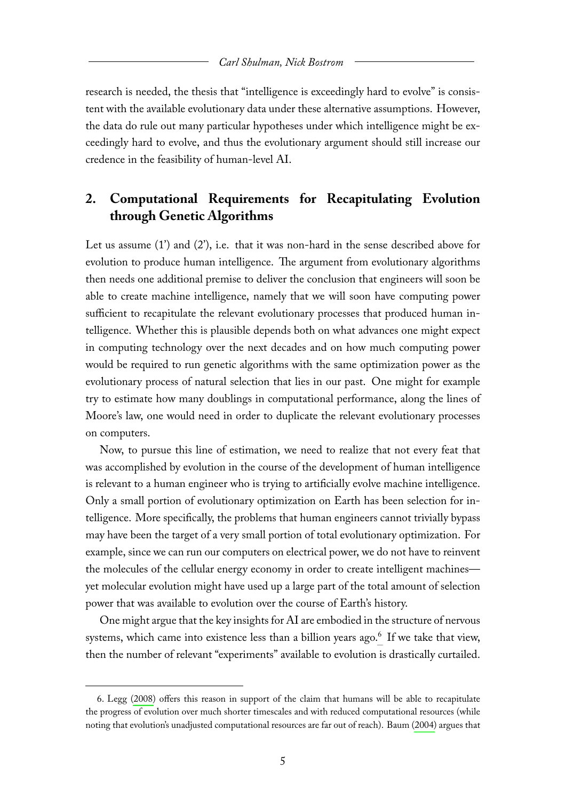research is needed, the thesis that "intelligence is exceedingly hard to evolve" is consistent with the available evolutionary data under these alternative assumptions. However, the data do rule out many particular hypotheses under which intelligence might be exceedingly hard to evolve, and thus the evolutionary argument should still increase our credence in the feasibility of human-level AI.

# **2. Computational Requirements for Recapitulating Evolution through Genetic Algorithms**

Let us assume (1') and (2'), i.e. that it was non-hard in the sense described above for evolution to produce human intelligence. The argument from evolutionary algorithms then needs one additional premise to deliver the conclusion that engineers will soon be able to create machine intelligence, namely that we will soon have computing power sufficient to recapitulate the relevant evolutionary processes that produced human intelligence. Whether this is plausible depends both on what advances one might expect in computing technology over the next decades and on how much computing power would be required to run genetic algorithms with the same optimization power as the evolutionary process of natural selection that lies in our past. One might for example try to estimate how many doublings in computational performance, along the lines of Moore's law, one would need in order to duplicate the relevant evolutionary processes on computers.

Now, to pursue this line of estimation, we need to realize that not every feat that was accomplished by evolution in the course of the development of human intelligence is relevant to a human engineer who is trying to artificially evolve machine intelligence. Only a small portion of evolutionary optimization on Earth has been selection for intelligence. More specifically, the problems that human engineers cannot trivially bypass may have been the target of a very small portion of total evolutionary optimization. For example, since we can run our computers on electrical power, we do not have to reinvent the molecules of the cellular energy economy in order to create intelligent machines yet molecular evolution might have used up a large part of the total amount of selection power that was available to evolution over the course of Earth's history.

One might argue that the key insights for AI are embodied in the structure of nervous systems, which came into existence less than a billion years ago.<sup>[6](#page-5-0)</sup> If we take that view, then the number of relevant "experiments" available to evolution is drastically curtailed.

<span id="page-5-0"></span><sup>6.</sup> Legg [\(2008\)](#page-25-5) offers this reason in support of the claim that humans will be able to recapitulate the progress of evolution over much shorter timescales and with reduced computational resources (while noting that evolution's unadjusted computational resources are far out of reach). Baum [\(2004\)](#page-23-0) argues that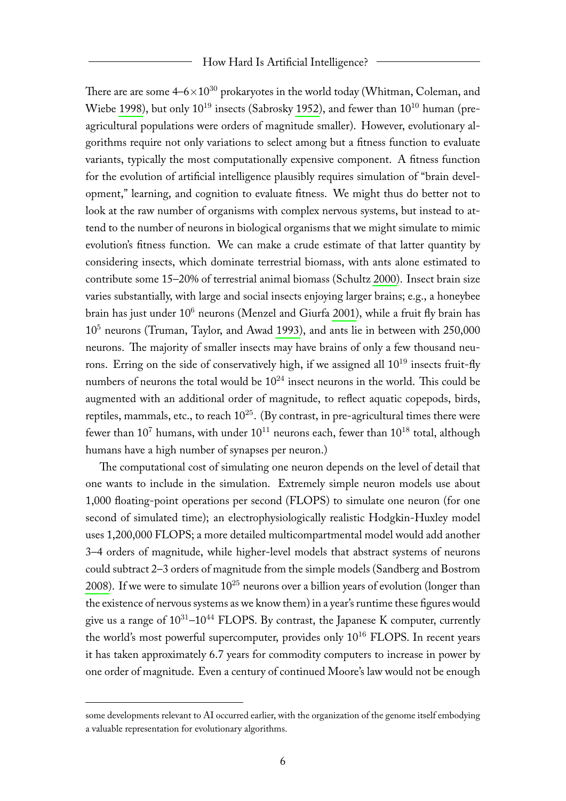#### How Hard Is Artificial Intelligence?

There are are some  $4-6\times10^{30}$  prokaryotes in the world today (Whitman, Coleman, and Wiebe [1998\)](#page-26-1), but only  $10^{19}$  insects (Sabrosky [1952\)](#page-25-6), and fewer than  $10^{10}$  human (preagricultural populations were orders of magnitude smaller). However, evolutionary algorithms require not only variations to select among but a fitness function to evaluate variants, typically the most computationally expensive component. A fitness function for the evolution of artificial intelligence plausibly requires simulation of "brain development," learning, and cognition to evaluate fitness. We might thus do better not to look at the raw number of organisms with complex nervous systems, but instead to attend to the number of neurons in biological organisms that we might simulate to mimic evolution's fitness function. We can make a crude estimate of that latter quantity by considering insects, which dominate terrestrial biomass, with ants alone estimated to contribute some 15–20% of terrestrial animal biomass (Schultz [2000\)](#page-26-2). Insect brain size varies substantially, with large and social insects enjoying larger brains; e.g., a honeybee brain has just under 10<sup>6</sup> neurons (Menzel and Giurfa [2001\)](#page-25-7), while a fruit fly brain has 10<sup>5</sup> neurons (Truman, Taylor, and Awad [1993\)](#page-26-3), and ants lie in between with 250,000 neurons. The majority of smaller insects may have brains of only a few thousand neurons. Erring on the side of conservatively high, if we assigned all  $10^{19}$  insects fruit-fly numbers of neurons the total would be  $10^{24}$  insect neurons in the world. This could be augmented with an additional order of magnitude, to reflect aquatic copepods, birds, reptiles, mammals, etc., to reach  $10^{25}$ . (By contrast, in pre-agricultural times there were fewer than  $10^7$  humans, with under  $10^{11}$  neurons each, fewer than  $10^{18}$  total, although humans have a high number of synapses per neuron.)

The computational cost of simulating one neuron depends on the level of detail that one wants to include in the simulation. Extremely simple neuron models use about 1,000 floating-point operations per second (FLOPS) to simulate one neuron (for one second of simulated time); an electrophysiologically realistic Hodgkin-Huxley model uses 1,200,000 FLOPS; a more detailed multicompartmental model would add another 3–4 orders of magnitude, while higher-level models that abstract systems of neurons could subtract 2–3 orders of magnitude from the simple models (Sandberg and Bostrom [2008\)](#page-26-0). If we were to simulate  $10^{25}$  neurons over a billion years of evolution (longer than the existence of nervous systems as we know them) in a year's runtime these figures would give us a range of  $10^{31}$ – $10^{44}$  FLOPS. By contrast, the Japanese K computer, currently the world's most powerful supercomputer, provides only  $10^{16}$  FLOPS. In recent years it has taken approximately 6.7 years for commodity computers to increase in power by one order of magnitude. Even a century of continued Moore's law would not be enough

some developments relevant to AI occurred earlier, with the organization of the genome itself embodying a valuable representation for evolutionary algorithms.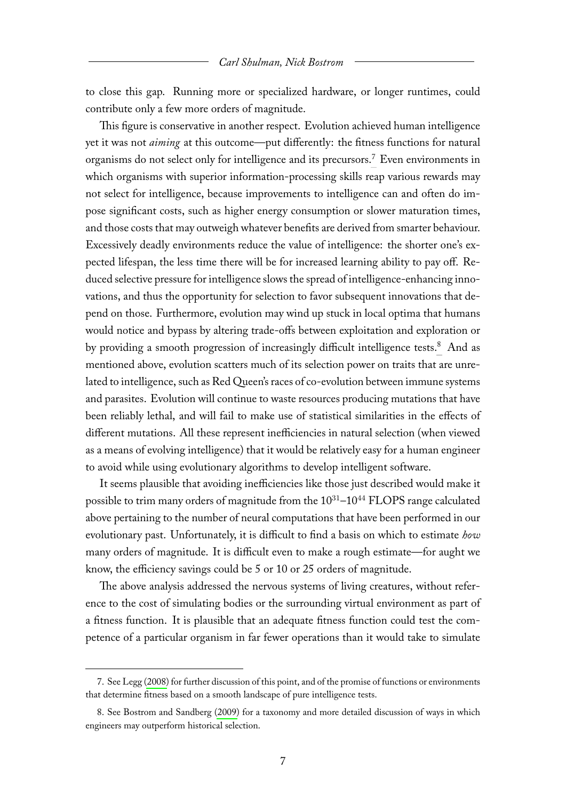to close this gap. Running more or specialized hardware, or longer runtimes, could contribute only a few more orders of magnitude.

This figure is conservative in another respect. Evolution achieved human intelligence yet it was not *aiming* at this outcome—put differently: the fitness functions for natural organisms do not select only for intelligence and its precursors.<sup>[7](#page-7-0)</sup> Even environments in which organisms with superior information-processing skills reap various rewards may not select for intelligence, because improvements to intelligence can and often do impose significant costs, such as higher energy consumption or slower maturation times, and those costs that may outweigh whatever benefits are derived from smarter behaviour. Excessively deadly environments reduce the value of intelligence: the shorter one's expected lifespan, the less time there will be for increased learning ability to pay off. Reduced selective pressure for intelligence slows the spread of intelligence-enhancing innovations, and thus the opportunity for selection to favor subsequent innovations that depend on those. Furthermore, evolution may wind up stuck in local optima that humans would notice and bypass by altering trade-offs between exploitation and exploration or by providing a smooth progression of increasingly difficult intelligence tests.<sup>[8](#page-7-1)</sup> And as mentioned above, evolution scatters much of its selection power on traits that are unrelated to intelligence, such as Red Queen's races of co-evolution between immune systems and parasites. Evolution will continue to waste resources producing mutations that have been reliably lethal, and will fail to make use of statistical similarities in the effects of different mutations. All these represent inefficiencies in natural selection (when viewed as a means of evolving intelligence) that it would be relatively easy for a human engineer to avoid while using evolutionary algorithms to develop intelligent software.

It seems plausible that avoiding inefficiencies like those just described would make it possible to trim many orders of magnitude from the  $10^{31}$ – $10^{44}$  FLOPS range calculated above pertaining to the number of neural computations that have been performed in our evolutionary past. Unfortunately, it is difficult to find a basis on which to estimate *how* many orders of magnitude. It is difficult even to make a rough estimate—for aught we know, the efficiency savings could be 5 or 10 or 25 orders of magnitude.

The above analysis addressed the nervous systems of living creatures, without reference to the cost of simulating bodies or the surrounding virtual environment as part of a fitness function. It is plausible that an adequate fitness function could test the competence of a particular organism in far fewer operations than it would take to simulate

<span id="page-7-0"></span><sup>7.</sup> See Legg [\(2008\)](#page-25-5) for further discussion of this point, and of the promise of functions or environments that determine fitness based on a smooth landscape of pure intelligence tests.

<span id="page-7-1"></span><sup>8.</sup> See Bostrom and Sandberg [\(2009\)](#page-23-1) for a taxonomy and more detailed discussion of ways in which engineers may outperform historical selection.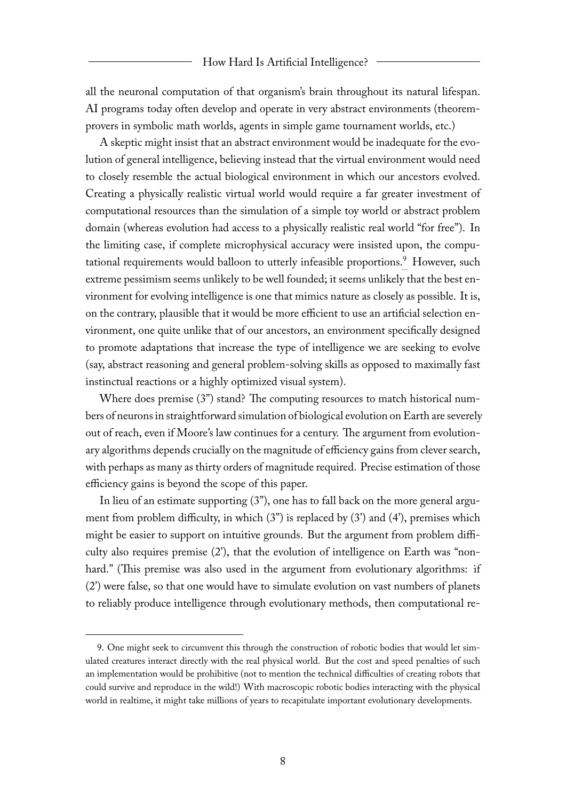all the neuronal computation of that organism's brain throughout its natural lifespan. AI programs today often develop and operate in very abstract environments (theoremprovers in symbolic math worlds, agents in simple game tournament worlds, etc.)

A skeptic might insist that an abstract environment would be inadequate for the evolution of general intelligence, believing instead that the virtual environment would need to closely resemble the actual biological environment in which our ancestors evolved. Creating a physically realistic virtual world would require a far greater investment of computational resources than the simulation of a simple toy world or abstract problem domain (whereas evolution had access to a physically realistic real world "for free"). In the limiting case, if complete microphysical accuracy were insisted upon, the compu-tational requirements would balloon to utterly infeasible proportions.<sup>[9](#page-8-0)</sup> However, such extreme pessimism seems unlikely to be well founded; it seems unlikely that the best environment for evolving intelligence is one that mimics nature as closely as possible. It is, on the contrary, plausible that it would be more efficient to use an artificial selection environment, one quite unlike that of our ancestors, an environment specifically designed to promote adaptations that increase the type of intelligence we are seeking to evolve (say, abstract reasoning and general problem-solving skills as opposed to maximally fast instinctual reactions or a highly optimized visual system).

Where does premise (3") stand? The computing resources to match historical numbers of neurons in straightforward simulation of biological evolution on Earth are severely out of reach, even if Moore's law continues for a century. The argument from evolutionary algorithms depends crucially on the magnitude of efficiency gains from clever search, with perhaps as many as thirty orders of magnitude required. Precise estimation of those efficiency gains is beyond the scope of this paper.

In lieu of an estimate supporting (3"), one has to fall back on the more general argument from problem difficulty, in which  $(3'')$  is replaced by  $(3')$  and  $(4')$ , premises which might be easier to support on intuitive grounds. But the argument from problem difficulty also requires premise (2'), that the evolution of intelligence on Earth was "nonhard." (This premise was also used in the argument from evolutionary algorithms: if (2') were false, so that one would have to simulate evolution on vast numbers of planets to reliably produce intelligence through evolutionary methods, then computational re-

<span id="page-8-0"></span><sup>9.</sup> One might seek to circumvent this through the construction of robotic bodies that would let simulated creatures interact directly with the real physical world. But the cost and speed penalties of such an implementation would be prohibitive (not to mention the technical difficulties of creating robots that could survive and reproduce in the wild!) With macroscopic robotic bodies interacting with the physical world in realtime, it might take millions of years to recapitulate important evolutionary developments.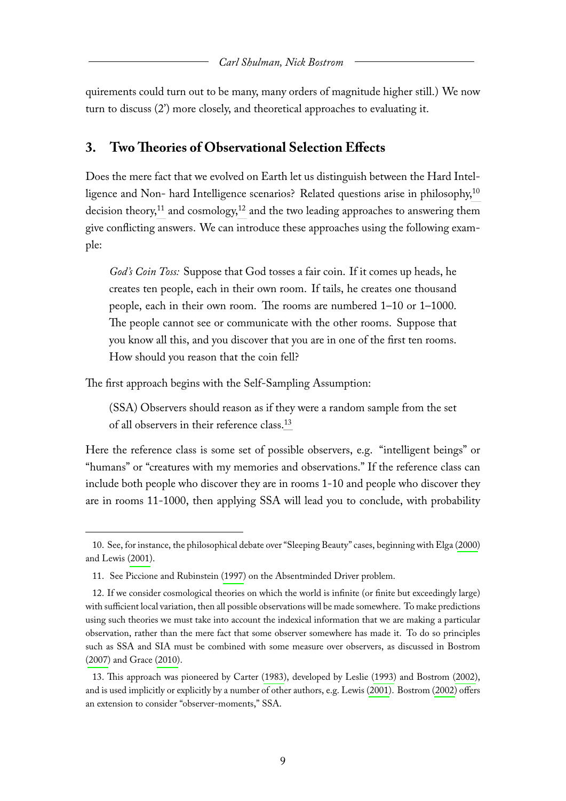quirements could turn out to be many, many orders of magnitude higher still.) We now turn to discuss (2') more closely, and theoretical approaches to evaluating it.

## **3. Two Theories of Observational Selection Effects**

Does the mere fact that we evolved on Earth let us distinguish between the Hard Intel-ligence and Non- hard Intelligence scenarios? Related questions arise in philosophy,<sup>[10](#page-9-0)</sup> decision theory,<sup>[11](#page-9-1)</sup> and cosmology,<sup>[12](#page-9-2)</sup> and the two leading approaches to answering them give conflicting answers. We can introduce these approaches using the following example:

*God's Coin Toss:* Suppose that God tosses a fair coin. If it comes up heads, he creates ten people, each in their own room. If tails, he creates one thousand people, each in their own room. The rooms are numbered 1–10 or 1–1000. The people cannot see or communicate with the other rooms. Suppose that you know all this, and you discover that you are in one of the first ten rooms. How should you reason that the coin fell?

The first approach begins with the Self-Sampling Assumption:

(SSA) Observers should reason as if they were a random sample from the set of all observers in their reference class.[13](#page-9-3)

Here the reference class is some set of possible observers, e.g. "intelligent beings" or "humans" or "creatures with my memories and observations." If the reference class can include both people who discover they are in rooms 1-10 and people who discover they are in rooms 11-1000, then applying SSA will lead you to conclude, with probability

<span id="page-9-0"></span><sup>10.</sup> See, for instance, the philosophical debate over "Sleeping Beauty" cases, beginning with Elga [\(2000\)](#page-24-3) and Lewis [\(2001\)](#page-25-8).

<span id="page-9-2"></span><span id="page-9-1"></span><sup>11.</sup> See Piccione and Rubinstein [\(1997\)](#page-25-9) on the Absentminded Driver problem.

<sup>12.</sup> If we consider cosmological theories on which the world is infinite (or finite but exceedingly large) with sufficient local variation, then all possible observations will be made somewhere. To make predictions using such theories we must take into account the indexical information that we are making a particular observation, rather than the mere fact that some observer somewhere has made it. To do so principles such as SSA and SIA must be combined with some measure over observers, as discussed in Bostrom [\(2007\)](#page-23-2) and Grace [\(2010\)](#page-24-2).

<span id="page-9-3"></span><sup>13.</sup> This approach was pioneered by Carter [\(1983\)](#page-23-3), developed by Leslie [\(1993\)](#page-25-10) and Bostrom [\(2002\)](#page-23-4), and is used implicitly or explicitly by a number of other authors, e.g. Lewis [\(2001\)](#page-25-8). Bostrom [\(2002\)](#page-23-4) offers an extension to consider "observer-moments," SSA.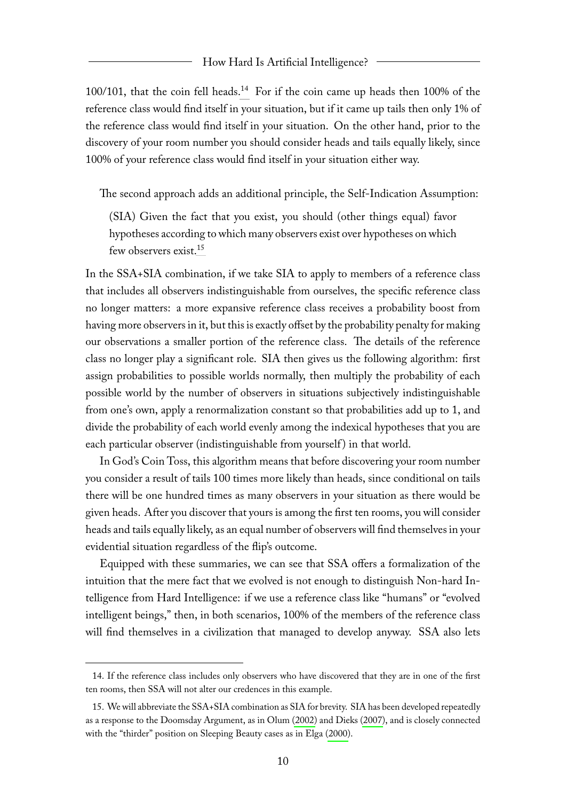$100/101$ , that the coin fell heads.<sup>[14](#page-10-0)</sup> For if the coin came up heads then 100% of the reference class would find itself in your situation, but if it came up tails then only 1% of the reference class would find itself in your situation. On the other hand, prior to the discovery of your room number you should consider heads and tails equally likely, since 100% of your reference class would find itself in your situation either way.

The second approach adds an additional principle, the Self-Indication Assumption:

(SIA) Given the fact that you exist, you should (other things equal) favor hypotheses according to which many observers exist over hypotheses on which few observers exist.[15](#page-10-1)

In the SSA+SIA combination, if we take SIA to apply to members of a reference class that includes all observers indistinguishable from ourselves, the specific reference class no longer matters: a more expansive reference class receives a probability boost from having more observers in it, but this is exactly offset by the probability penalty for making our observations a smaller portion of the reference class. The details of the reference class no longer play a significant role. SIA then gives us the following algorithm: first assign probabilities to possible worlds normally, then multiply the probability of each possible world by the number of observers in situations subjectively indistinguishable from one's own, apply a renormalization constant so that probabilities add up to 1, and divide the probability of each world evenly among the indexical hypotheses that you are each particular observer (indistinguishable from yourself) in that world.

In God's Coin Toss, this algorithm means that before discovering your room number you consider a result of tails 100 times more likely than heads, since conditional on tails there will be one hundred times as many observers in your situation as there would be given heads. After you discover that yours is among the first ten rooms, you will consider heads and tails equally likely, as an equal number of observers will find themselves in your evidential situation regardless of the flip's outcome.

Equipped with these summaries, we can see that SSA offers a formalization of the intuition that the mere fact that we evolved is not enough to distinguish Non-hard Intelligence from Hard Intelligence: if we use a reference class like "humans" or "evolved intelligent beings," then, in both scenarios, 100% of the members of the reference class will find themselves in a civilization that managed to develop anyway. SSA also lets

<span id="page-10-0"></span><sup>14.</sup> If the reference class includes only observers who have discovered that they are in one of the first ten rooms, then SSA will not alter our credences in this example.

<span id="page-10-1"></span><sup>15.</sup> We will abbreviate the SSA+SIA combination as SIA for brevity. SIA has been developed repeatedly as a response to the Doomsday Argument, as in Olum [\(2002\)](#page-25-11) and Dieks [\(2007\)](#page-24-4), and is closely connected with the "thirder" position on Sleeping Beauty cases as in Elga [\(2000\)](#page-24-3).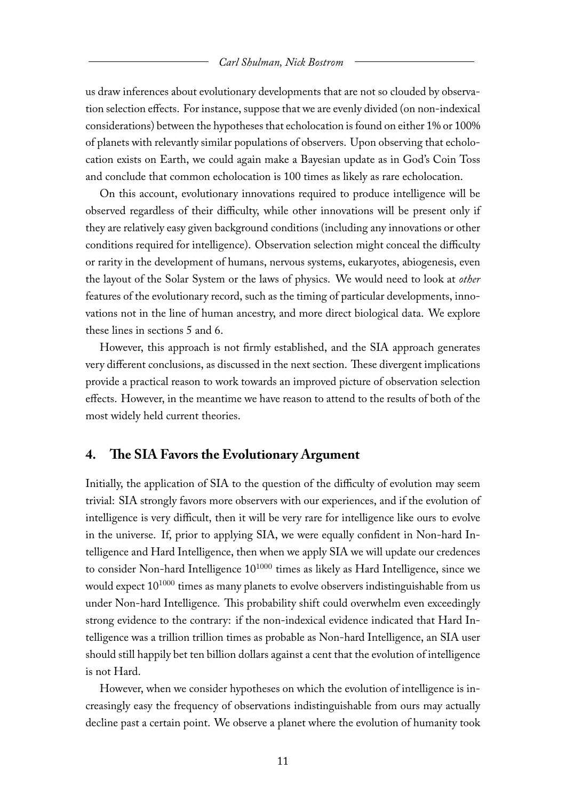us draw inferences about evolutionary developments that are not so clouded by observation selection effects. For instance, suppose that we are evenly divided (on non-indexical considerations) between the hypotheses that echolocation is found on either 1% or 100% of planets with relevantly similar populations of observers. Upon observing that echolocation exists on Earth, we could again make a Bayesian update as in God's Coin Toss and conclude that common echolocation is 100 times as likely as rare echolocation.

On this account, evolutionary innovations required to produce intelligence will be observed regardless of their difficulty, while other innovations will be present only if they are relatively easy given background conditions (including any innovations or other conditions required for intelligence). Observation selection might conceal the difficulty or rarity in the development of humans, nervous systems, eukaryotes, abiogenesis, even the layout of the Solar System or the laws of physics. We would need to look at *other* features of the evolutionary record, such as the timing of particular developments, innovations not in the line of human ancestry, and more direct biological data. We explore these lines in sections 5 and 6.

However, this approach is not firmly established, and the SIA approach generates very different conclusions, as discussed in the next section. These divergent implications provide a practical reason to work towards an improved picture of observation selection effects. However, in the meantime we have reason to attend to the results of both of the most widely held current theories.

#### **4. The SIA Favors the Evolutionary Argument**

Initially, the application of SIA to the question of the difficulty of evolution may seem trivial: SIA strongly favors more observers with our experiences, and if the evolution of intelligence is very difficult, then it will be very rare for intelligence like ours to evolve in the universe. If, prior to applying SIA, we were equally confident in Non-hard Intelligence and Hard Intelligence, then when we apply SIA we will update our credences to consider Non-hard Intelligence  $10^{1000}$  times as likely as Hard Intelligence, since we would expect  $10^{1000}$  times as many planets to evolve observers indistinguishable from us under Non-hard Intelligence. This probability shift could overwhelm even exceedingly strong evidence to the contrary: if the non-indexical evidence indicated that Hard Intelligence was a trillion trillion times as probable as Non-hard Intelligence, an SIA user should still happily bet ten billion dollars against a cent that the evolution of intelligence is not Hard.

However, when we consider hypotheses on which the evolution of intelligence is increasingly easy the frequency of observations indistinguishable from ours may actually decline past a certain point. We observe a planet where the evolution of humanity took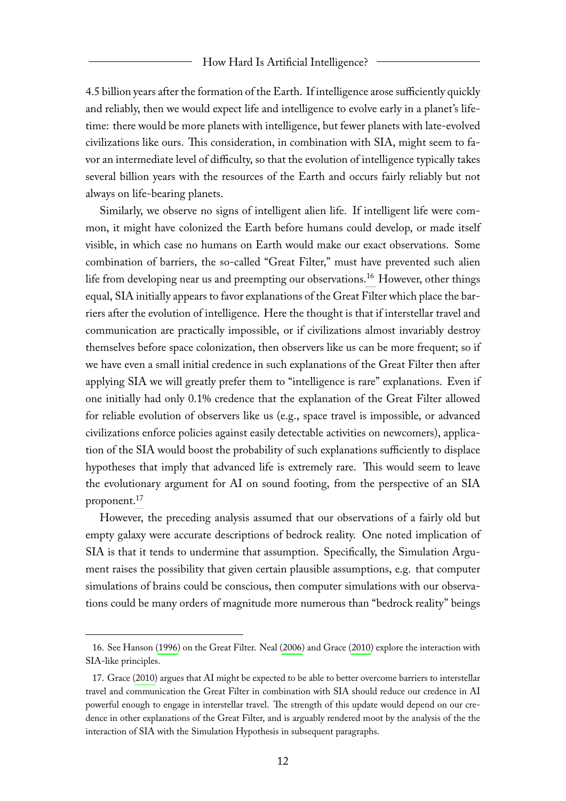4.5 billion years after the formation of the Earth. If intelligence arose sufficiently quickly and reliably, then we would expect life and intelligence to evolve early in a planet's lifetime: there would be more planets with intelligence, but fewer planets with late-evolved civilizations like ours. This consideration, in combination with SIA, might seem to favor an intermediate level of difficulty, so that the evolution of intelligence typically takes several billion years with the resources of the Earth and occurs fairly reliably but not always on life-bearing planets.

Similarly, we observe no signs of intelligent alien life. If intelligent life were common, it might have colonized the Earth before humans could develop, or made itself visible, in which case no humans on Earth would make our exact observations. Some combination of barriers, the so-called "Great Filter," must have prevented such alien life from developing near us and preempting our observations.<sup>[16](#page-12-0)</sup> However, other things equal, SIA initially appears to favor explanations of the Great Filter which place the barriers after the evolution of intelligence. Here the thought is that if interstellar travel and communication are practically impossible, or if civilizations almost invariably destroy themselves before space colonization, then observers like us can be more frequent; so if we have even a small initial credence in such explanations of the Great Filter then after applying SIA we will greatly prefer them to "intelligence is rare" explanations. Even if one initially had only 0.1% credence that the explanation of the Great Filter allowed for reliable evolution of observers like us (e.g., space travel is impossible, or advanced civilizations enforce policies against easily detectable activities on newcomers), application of the SIA would boost the probability of such explanations sufficiently to displace hypotheses that imply that advanced life is extremely rare. This would seem to leave the evolutionary argument for AI on sound footing, from the perspective of an SIA proponent.[17](#page-12-1)

However, the preceding analysis assumed that our observations of a fairly old but empty galaxy were accurate descriptions of bedrock reality. One noted implication of SIA is that it tends to undermine that assumption. Specifically, the Simulation Argument raises the possibility that given certain plausible assumptions, e.g. that computer simulations of brains could be conscious, then computer simulations with our observations could be many orders of magnitude more numerous than "bedrock reality" beings

<span id="page-12-0"></span><sup>16.</sup> See Hanson [\(1996\)](#page-24-5) on the Great Filter. Neal [\(2006\)](#page-25-12) and Grace [\(2010\)](#page-24-2) explore the interaction with SIA-like principles.

<span id="page-12-1"></span><sup>17.</sup> Grace [\(2010\)](#page-24-2) argues that AI might be expected to be able to better overcome barriers to interstellar travel and communication the Great Filter in combination with SIA should reduce our credence in AI powerful enough to engage in interstellar travel. The strength of this update would depend on our credence in other explanations of the Great Filter, and is arguably rendered moot by the analysis of the the interaction of SIA with the Simulation Hypothesis in subsequent paragraphs.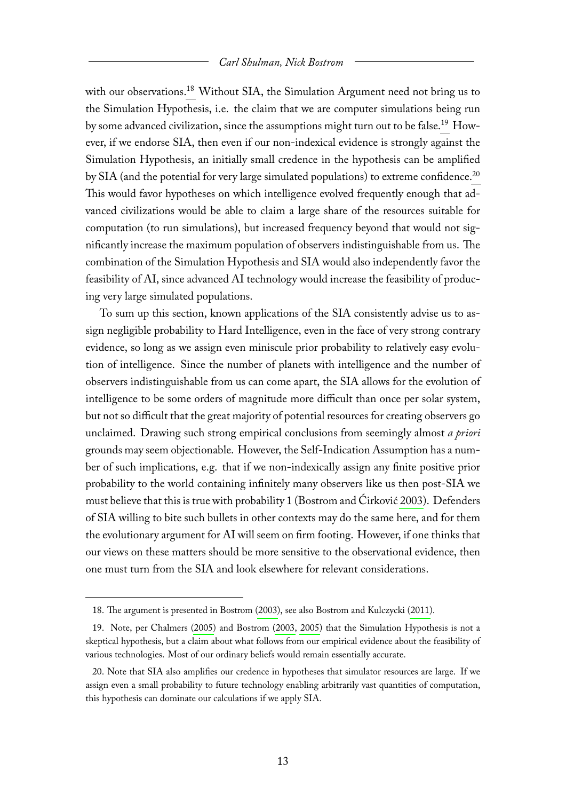with our observations.<sup>[18](#page-13-0)</sup> Without SIA, the Simulation Argument need not bring us to the Simulation Hypothesis, i.e. the claim that we are computer simulations being run by some advanced civilization, since the assumptions might turn out to be false.[19](#page-13-1) However, if we endorse SIA, then even if our non-indexical evidence is strongly against the Simulation Hypothesis, an initially small credence in the hypothesis can be amplified by SIA (and the potential for very large simulated populations) to extreme confidence.<sup>[20](#page-13-2)</sup> This would favor hypotheses on which intelligence evolved frequently enough that advanced civilizations would be able to claim a large share of the resources suitable for computation (to run simulations), but increased frequency beyond that would not significantly increase the maximum population of observers indistinguishable from us. The combination of the Simulation Hypothesis and SIA would also independently favor the feasibility of AI, since advanced AI technology would increase the feasibility of producing very large simulated populations.

To sum up this section, known applications of the SIA consistently advise us to assign negligible probability to Hard Intelligence, even in the face of very strong contrary evidence, so long as we assign even miniscule prior probability to relatively easy evolution of intelligence. Since the number of planets with intelligence and the number of observers indistinguishable from us can come apart, the SIA allows for the evolution of intelligence to be some orders of magnitude more difficult than once per solar system, but not so difficult that the great majority of potential resources for creating observers go unclaimed. Drawing such strong empirical conclusions from seemingly almost *a priori* grounds may seem objectionable. However, the Self-Indication Assumption has a number of such implications, e.g. that if we non-indexically assign any finite positive prior probability to the world containing infinitely many observers like us then post-SIA we must believe that this is true with probability 1 (Bostrom and Ćirković [2003\)](#page-23-5). Defenders of SIA willing to bite such bullets in other contexts may do the same here, and for them the evolutionary argument for AI will seem on firm footing. However, if one thinks that our views on these matters should be more sensitive to the observational evidence, then one must turn from the SIA and look elsewhere for relevant considerations.

<span id="page-13-1"></span><span id="page-13-0"></span><sup>18.</sup> The argument is presented in Bostrom [\(2003\)](#page-23-6), see also Bostrom and Kulczycki [\(2011\)](#page-23-7).

<sup>19.</sup> Note, per Chalmers [\(2005\)](#page-24-6) and Bostrom [\(2003,](#page-23-6) [2005\)](#page-23-8) that the Simulation Hypothesis is not a skeptical hypothesis, but a claim about what follows from our empirical evidence about the feasibility of various technologies. Most of our ordinary beliefs would remain essentially accurate.

<span id="page-13-2"></span><sup>20.</sup> Note that SIA also amplifies our credence in hypotheses that simulator resources are large. If we assign even a small probability to future technology enabling arbitrarily vast quantities of computation, this hypothesis can dominate our calculations if we apply SIA.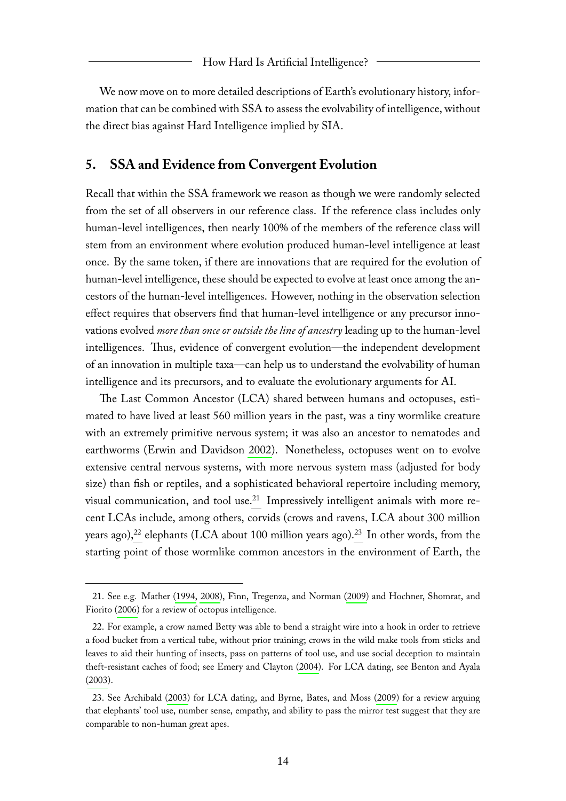We now move on to more detailed descriptions of Earth's evolutionary history, information that can be combined with SSA to assess the evolvability of intelligence, without the direct bias against Hard Intelligence implied by SIA.

### **5. SSA and Evidence from Convergent Evolution**

Recall that within the SSA framework we reason as though we were randomly selected from the set of all observers in our reference class. If the reference class includes only human-level intelligences, then nearly 100% of the members of the reference class will stem from an environment where evolution produced human-level intelligence at least once. By the same token, if there are innovations that are required for the evolution of human-level intelligence, these should be expected to evolve at least once among the ancestors of the human-level intelligences. However, nothing in the observation selection effect requires that observers find that human-level intelligence or any precursor innovations evolved *more than once or outside the line of ancestry* leading up to the human-level intelligences. Thus, evidence of convergent evolution—the independent development of an innovation in multiple taxa—can help us to understand the evolvability of human intelligence and its precursors, and to evaluate the evolutionary arguments for AI.

The Last Common Ancestor (LCA) shared between humans and octopuses, estimated to have lived at least 560 million years in the past, was a tiny wormlike creature with an extremely primitive nervous system; it was also an ancestor to nematodes and earthworms (Erwin and Davidson [2002\)](#page-24-7). Nonetheless, octopuses went on to evolve extensive central nervous systems, with more nervous system mass (adjusted for body size) than fish or reptiles, and a sophisticated behavioral repertoire including memory, visual communication, and tool use.<sup>[21](#page-14-0)</sup> Impressively intelligent animals with more recent LCAs include, among others, corvids (crows and ravens, LCA about 300 million years ago),<sup>[22](#page-14-1)</sup> elephants (LCA about 100 million years ago).<sup>[23](#page-14-2)</sup> In other words, from the starting point of those wormlike common ancestors in the environment of Earth, the

<span id="page-14-0"></span><sup>21.</sup> See e.g. Mather [\(1994,](#page-25-13) [2008\)](#page-25-14), Finn, Tregenza, and Norman [\(2009\)](#page-24-8) and Hochner, Shomrat, and Fiorito [\(2006\)](#page-24-9) for a review of octopus intelligence.

<span id="page-14-1"></span><sup>22.</sup> For example, a crow named Betty was able to bend a straight wire into a hook in order to retrieve a food bucket from a vertical tube, without prior training; crows in the wild make tools from sticks and leaves to aid their hunting of insects, pass on patterns of tool use, and use social deception to maintain theft-resistant caches of food; see Emery and Clayton [\(2004\)](#page-24-10). For LCA dating, see Benton and Ayala [\(2003\)](#page-23-9).

<span id="page-14-2"></span><sup>23.</sup> See Archibald [\(2003\)](#page-23-10) for LCA dating, and Byrne, Bates, and Moss [\(2009\)](#page-23-11) for a review arguing that elephants' tool use, number sense, empathy, and ability to pass the mirror test suggest that they are comparable to non-human great apes.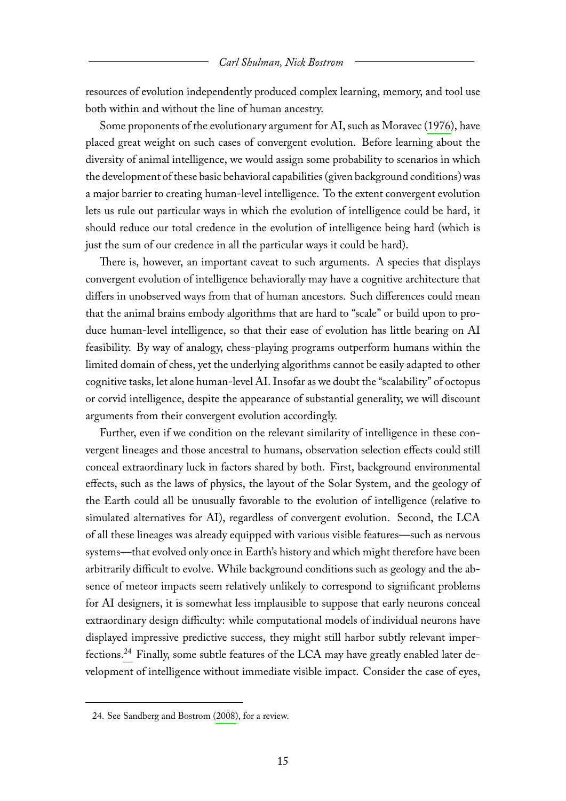resources of evolution independently produced complex learning, memory, and tool use both within and without the line of human ancestry.

Some proponents of the evolutionary argument for AI, such as Moravec [\(1976\)](#page-25-0), have placed great weight on such cases of convergent evolution. Before learning about the diversity of animal intelligence, we would assign some probability to scenarios in which the development of these basic behavioral capabilities (given background conditions) was a major barrier to creating human-level intelligence. To the extent convergent evolution lets us rule out particular ways in which the evolution of intelligence could be hard, it should reduce our total credence in the evolution of intelligence being hard (which is just the sum of our credence in all the particular ways it could be hard).

There is, however, an important caveat to such arguments. A species that displays convergent evolution of intelligence behaviorally may have a cognitive architecture that differs in unobserved ways from that of human ancestors. Such differences could mean that the animal brains embody algorithms that are hard to "scale" or build upon to produce human-level intelligence, so that their ease of evolution has little bearing on AI feasibility. By way of analogy, chess-playing programs outperform humans within the limited domain of chess, yet the underlying algorithms cannot be easily adapted to other cognitive tasks, let alone human-level AI. Insofar as we doubt the "scalability" of octopus or corvid intelligence, despite the appearance of substantial generality, we will discount arguments from their convergent evolution accordingly.

Further, even if we condition on the relevant similarity of intelligence in these convergent lineages and those ancestral to humans, observation selection effects could still conceal extraordinary luck in factors shared by both. First, background environmental effects, such as the laws of physics, the layout of the Solar System, and the geology of the Earth could all be unusually favorable to the evolution of intelligence (relative to simulated alternatives for AI), regardless of convergent evolution. Second, the LCA of all these lineages was already equipped with various visible features—such as nervous systems—that evolved only once in Earth's history and which might therefore have been arbitrarily difficult to evolve. While background conditions such as geology and the absence of meteor impacts seem relatively unlikely to correspond to significant problems for AI designers, it is somewhat less implausible to suppose that early neurons conceal extraordinary design difficulty: while computational models of individual neurons have displayed impressive predictive success, they might still harbor subtly relevant imperfections.[24](#page-15-0) Finally, some subtle features of the LCA may have greatly enabled later development of intelligence without immediate visible impact. Consider the case of eyes,

<span id="page-15-0"></span><sup>24.</sup> See Sandberg and Bostrom [\(2008\)](#page-26-0), for a review.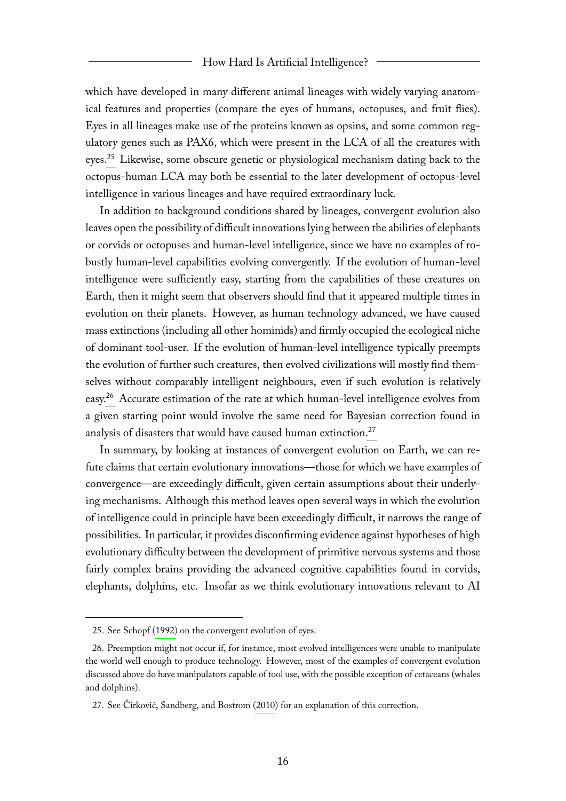#### How Hard Is Artificial Intelligence?

which have developed in many different animal lineages with widely varying anatomical features and properties (compare the eyes of humans, octopuses, and fruit flies). Eyes in all lineages make use of the proteins known as opsins, and some common regulatory genes such as PAX6, which were present in the LCA of all the creatures with eyes.[25](#page-16-0) Likewise, some obscure genetic or physiological mechanism dating back to the octopus-human LCA may both be essential to the later development of octopus-level intelligence in various lineages and have required extraordinary luck.

In addition to background conditions shared by lineages, convergent evolution also leaves open the possibility of difficult innovations lying between the abilities of elephants or corvids or octopuses and human-level intelligence, since we have no examples of robustly human-level capabilities evolving convergently. If the evolution of human-level intelligence were sufficiently easy, starting from the capabilities of these creatures on Earth, then it might seem that observers should find that it appeared multiple times in evolution on their planets. However, as human technology advanced, we have caused mass extinctions (including all other hominids) and firmly occupied the ecological niche of dominant tool-user. If the evolution of human-level intelligence typically preempts the evolution of further such creatures, then evolved civilizations will mostly find themselves without comparably intelligent neighbours, even if such evolution is relatively easy.<sup>[26](#page-16-1)</sup> Accurate estimation of the rate at which human-level intelligence evolves from a given starting point would involve the same need for Bayesian correction found in analysis of disasters that would have caused human extinction.<sup>[27](#page-16-2)</sup>

In summary, by looking at instances of convergent evolution on Earth, we can refute claims that certain evolutionary innovations—those for which we have examples of convergence—are exceedingly difficult, given certain assumptions about their underlying mechanisms. Although this method leaves open several ways in which the evolution of intelligence could in principle have been exceedingly difficult, it narrows the range of possibilities. In particular, it provides disconfirming evidence against hypotheses of high evolutionary difficulty between the development of primitive nervous systems and those fairly complex brains providing the advanced cognitive capabilities found in corvids, elephants, dolphins, etc. Insofar as we think evolutionary innovations relevant to AI

<span id="page-16-1"></span><span id="page-16-0"></span><sup>25.</sup> See Schopf [\(1992\)](#page-26-4) on the convergent evolution of eyes.

<sup>26.</sup> Preemption might not occur if, for instance, most evolved intelligences were unable to manipulate the world well enough to produce technology. However, most of the examples of convergent evolution discussed above do have manipulators capable of tool use, with the possible exception of cetaceans (whales and dolphins).

<span id="page-16-2"></span><sup>27.</sup> See Ćirković, Sandberg, and Bostrom [\(2010\)](#page-24-11) for an explanation of this correction.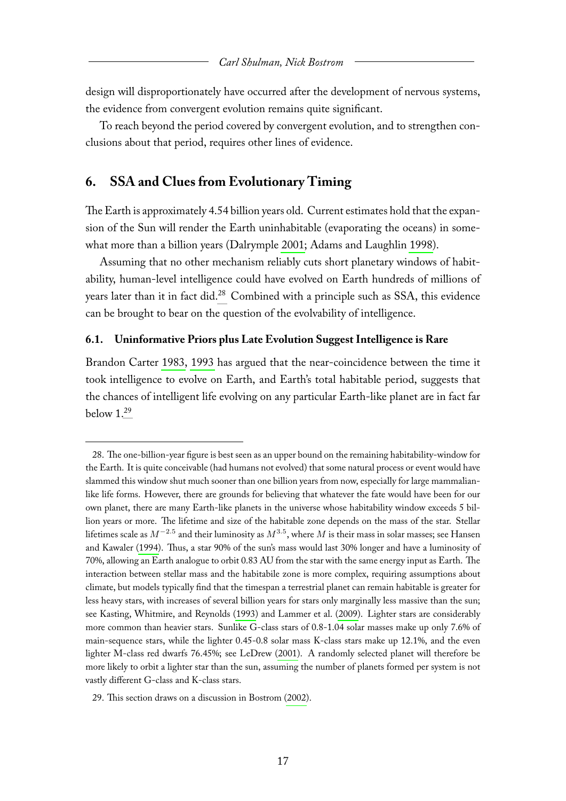design will disproportionately have occurred after the development of nervous systems, the evidence from convergent evolution remains quite significant.

To reach beyond the period covered by convergent evolution, and to strengthen conclusions about that period, requires other lines of evidence.

## **6. SSA and Clues from Evolutionary Timing**

The Earth is approximately 4.54 billion years old. Current estimates hold that the expansion of the Sun will render the Earth uninhabitable (evaporating the oceans) in somewhat more than a billion years (Dalrymple [2001;](#page-24-12) Adams and Laughlin [1998\)](#page-23-12).

Assuming that no other mechanism reliably cuts short planetary windows of habitability, human-level intelligence could have evolved on Earth hundreds of millions of years later than it in fact did.<sup>[28](#page-17-0)</sup> Combined with a principle such as SSA, this evidence can be brought to bear on the question of the evolvability of intelligence.

#### **6.1. Uninformative Priors plus Late Evolution Suggest Intelligence is Rare**

Brandon Carter [1983,](#page-23-3) [1993](#page-24-13) has argued that the near-coincidence between the time it took intelligence to evolve on Earth, and Earth's total habitable period, suggests that the chances of intelligent life evolving on any particular Earth-like planet are in fact far below 1.[29](#page-17-1)

<span id="page-17-0"></span><sup>28.</sup> The one-billion-year figure is best seen as an upper bound on the remaining habitability-window for the Earth. It is quite conceivable (had humans not evolved) that some natural process or event would have slammed this window shut much sooner than one billion years from now, especially for large mammalianlike life forms. However, there are grounds for believing that whatever the fate would have been for our own planet, there are many Earth-like planets in the universe whose habitability window exceeds 5 billion years or more. The lifetime and size of the habitable zone depends on the mass of the star. Stellar lifetimes scale as  $M^{-2.5}$  and their luminosity as  $M^{3.5},$  where  $M$  is their mass in solar masses; see Hansen and Kawaler [\(1994\)](#page-24-14). Thus, a star 90% of the sun's mass would last 30% longer and have a luminosity of 70%, allowing an Earth analogue to orbit 0.83 AU from the star with the same energy input as Earth. The interaction between stellar mass and the habitabile zone is more complex, requiring assumptions about climate, but models typically find that the timespan a terrestrial planet can remain habitable is greater for less heavy stars, with increases of several billion years for stars only marginally less massive than the sun; see Kasting, Whitmire, and Reynolds [\(1993\)](#page-25-15) and Lammer et al. [\(2009\)](#page-25-16). Lighter stars are considerably more common than heavier stars. Sunlike G-class stars of 0.8-1.04 solar masses make up only 7.6% of main-sequence stars, while the lighter 0.45-0.8 solar mass K-class stars make up 12.1%, and the even lighter M-class red dwarfs 76.45%; see LeDrew [\(2001\)](#page-25-17). A randomly selected planet will therefore be more likely to orbit a lighter star than the sun, assuming the number of planets formed per system is not vastly different G-class and K-class stars.

<span id="page-17-1"></span><sup>29.</sup> This section draws on a discussion in Bostrom [\(2002\)](#page-23-4).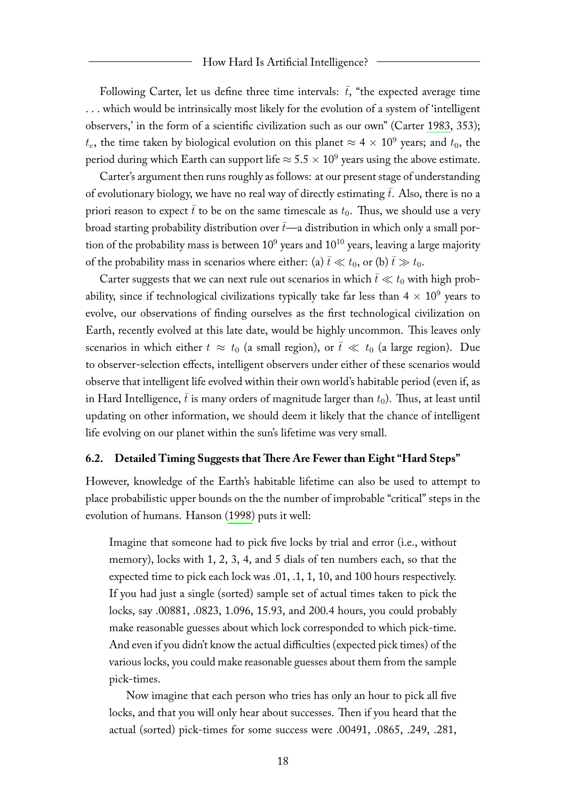Following Carter, let us define three time intervals:  $\bar{t}$ , "the expected average time . . . which would be intrinsically most likely for the evolution of a system of 'intelligent observers,' in the form of a scientific civilization such as our own" (Carter [1983,](#page-23-3) 353);  $t_e$ , the time taken by biological evolution on this planet  $\approx 4\times 10^9$  years; and  $t_0$ , the period during which Earth can support life  $\approx$  5.5  $\times$   $10^9$  years using the above estimate.

Carter's argument then runs roughly as follows: at our present stage of understanding of evolutionary biology, we have no real way of directly estimating  $\bar{t}$ . Also, there is no a priori reason to expect  $\bar{t}$  to be on the same timescale as  $t_0$ . Thus, we should use a very broad starting probability distribution over  $\bar{t}$ —a distribution in which only a small portion of the probability mass is between  $10^9$  years and  $10^{10}$  years, leaving a large majority of the probability mass in scenarios where either: (a)  $\bar{t} \ll t_0$ , or (b)  $\bar{t} \gg t_0$ .

Carter suggests that we can next rule out scenarios in which  $\bar{t} \ll t_0$  with high probability, since if technological civilizations typically take far less than  $4 \times 10^9$  years to evolve, our observations of finding ourselves as the first technological civilization on Earth, recently evolved at this late date, would be highly uncommon. This leaves only scenarios in which either  $t \approx t_0$  (a small region), or  $\bar{t} \ll t_0$  (a large region). Due to observer-selection effects, intelligent observers under either of these scenarios would observe that intelligent life evolved within their own world's habitable period (even if, as in Hard Intelligence,  $\bar{t}$  is many orders of magnitude larger than  $t_0$ ). Thus, at least until updating on other information, we should deem it likely that the chance of intelligent life evolving on our planet within the sun's lifetime was very small.

#### **6.2. Detailed Timing Suggests that There Are Fewer than Eight "Hard Steps"**

However, knowledge of the Earth's habitable lifetime can also be used to attempt to place probabilistic upper bounds on the the number of improbable "critical" steps in the evolution of humans. Hanson [\(1998\)](#page-24-15) puts it well:

Imagine that someone had to pick five locks by trial and error (i.e., without memory), locks with 1, 2, 3, 4, and 5 dials of ten numbers each, so that the expected time to pick each lock was .01, .1, 1, 10, and 100 hours respectively. If you had just a single (sorted) sample set of actual times taken to pick the locks, say .00881, .0823, 1.096, 15.93, and 200.4 hours, you could probably make reasonable guesses about which lock corresponded to which pick-time. And even if you didn't know the actual difficulties (expected pick times) of the various locks, you could make reasonable guesses about them from the sample pick-times.

Now imagine that each person who tries has only an hour to pick all five locks, and that you will only hear about successes. Then if you heard that the actual (sorted) pick-times for some success were .00491, .0865, .249, .281,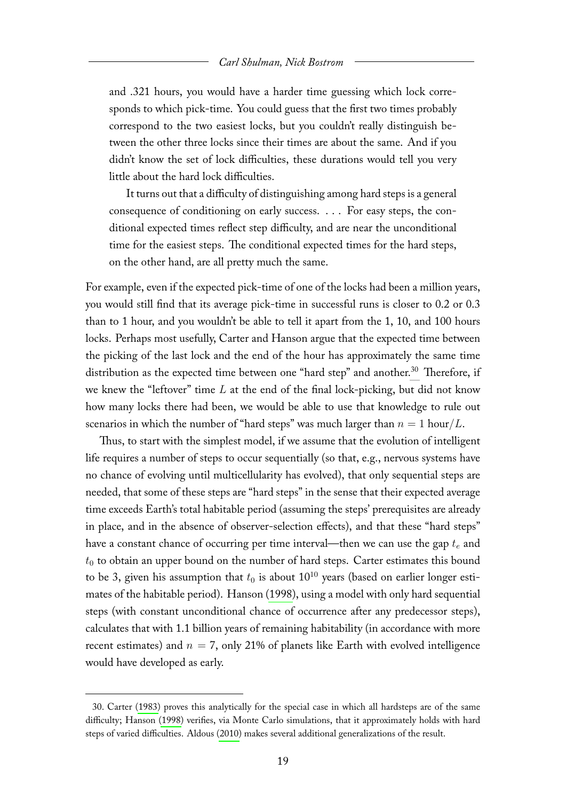and .321 hours, you would have a harder time guessing which lock corresponds to which pick-time. You could guess that the first two times probably correspond to the two easiest locks, but you couldn't really distinguish between the other three locks since their times are about the same. And if you didn't know the set of lock difficulties, these durations would tell you very little about the hard lock difficulties.

It turns out that a difficulty of distinguishing among hard steps is a general consequence of conditioning on early success. . . . For easy steps, the conditional expected times reflect step difficulty, and are near the unconditional time for the easiest steps. The conditional expected times for the hard steps, on the other hand, are all pretty much the same.

For example, even if the expected pick-time of one of the locks had been a million years, you would still find that its average pick-time in successful runs is closer to 0.2 or 0.3 than to 1 hour, and you wouldn't be able to tell it apart from the 1, 10, and 100 hours locks. Perhaps most usefully, Carter and Hanson argue that the expected time between the picking of the last lock and the end of the hour has approximately the same time distribution as the expected time between one "hard step" and another.<sup>[30](#page-19-0)</sup> Therefore, if we knew the "leftover" time  $L$  at the end of the final lock-picking, but did not know how many locks there had been, we would be able to use that knowledge to rule out scenarios in which the number of "hard steps" was much larger than  $n = 1$  hour/L.

Thus, to start with the simplest model, if we assume that the evolution of intelligent life requires a number of steps to occur sequentially (so that, e.g., nervous systems have no chance of evolving until multicellularity has evolved), that only sequential steps are needed, that some of these steps are "hard steps" in the sense that their expected average time exceeds Earth's total habitable period (assuming the steps' prerequisites are already in place, and in the absence of observer-selection effects), and that these "hard steps" have a constant chance of occurring per time interval—then we can use the gap  $t_e$  and  $t_0$  to obtain an upper bound on the number of hard steps. Carter estimates this bound to be 3, given his assumption that  $t_0$  is about  $10^{10}$  years (based on earlier longer estimates of the habitable period). Hanson [\(1998\)](#page-24-15), using a model with only hard sequential steps (with constant unconditional chance of occurrence after any predecessor steps), calculates that with 1.1 billion years of remaining habitability (in accordance with more recent estimates) and  $n = 7$ , only 21% of planets like Earth with evolved intelligence would have developed as early.

<span id="page-19-0"></span><sup>30.</sup> Carter [\(1983\)](#page-23-3) proves this analytically for the special case in which all hardsteps are of the same difficulty; Hanson [\(1998\)](#page-24-15) verifies, via Monte Carlo simulations, that it approximately holds with hard steps of varied difficulties. Aldous [\(2010\)](#page-23-13) makes several additional generalizations of the result.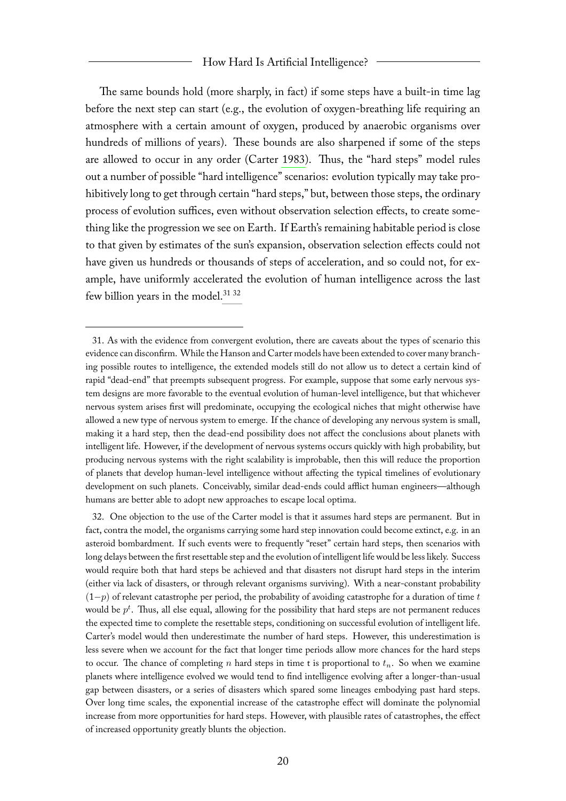#### How Hard Is Artificial Intelligence?

The same bounds hold (more sharply, in fact) if some steps have a built-in time lag before the next step can start (e.g., the evolution of oxygen-breathing life requiring an atmosphere with a certain amount of oxygen, produced by anaerobic organisms over hundreds of millions of years). These bounds are also sharpened if some of the steps are allowed to occur in any order (Carter [1983\)](#page-23-3). Thus, the "hard steps" model rules out a number of possible "hard intelligence" scenarios: evolution typically may take prohibitively long to get through certain "hard steps," but, between those steps, the ordinary process of evolution suffices, even without observation selection effects, to create something like the progression we see on Earth. If Earth's remaining habitable period is close to that given by estimates of the sun's expansion, observation selection effects could not have given us hundreds or thousands of steps of acceleration, and so could not, for example, have uniformly accelerated the evolution of human intelligence across the last few billion years in the model.<sup>[31](#page-20-0) [32](#page-20-1)</sup>

<span id="page-20-0"></span><sup>31.</sup> As with the evidence from convergent evolution, there are caveats about the types of scenario this evidence can disconfirm. While the Hanson and Carter models have been extended to cover many branching possible routes to intelligence, the extended models still do not allow us to detect a certain kind of rapid "dead-end" that preempts subsequent progress. For example, suppose that some early nervous system designs are more favorable to the eventual evolution of human-level intelligence, but that whichever nervous system arises first will predominate, occupying the ecological niches that might otherwise have allowed a new type of nervous system to emerge. If the chance of developing any nervous system is small, making it a hard step, then the dead-end possibility does not affect the conclusions about planets with intelligent life. However, if the development of nervous systems occurs quickly with high probability, but producing nervous systems with the right scalability is improbable, then this will reduce the proportion of planets that develop human-level intelligence without affecting the typical timelines of evolutionary development on such planets. Conceivably, similar dead-ends could afflict human engineers—although humans are better able to adopt new approaches to escape local optima.

<span id="page-20-1"></span><sup>32.</sup> One objection to the use of the Carter model is that it assumes hard steps are permanent. But in fact, contra the model, the organisms carrying some hard step innovation could become extinct, e.g. in an asteroid bombardment. If such events were to frequently "reset" certain hard steps, then scenarios with long delays between the first resettable step and the evolution of intelligent life would be less likely. Success would require both that hard steps be achieved and that disasters not disrupt hard steps in the interim (either via lack of disasters, or through relevant organisms surviving). With a near-constant probability  $(1-p)$  of relevant catastrophe per period, the probability of avoiding catastrophe for a duration of time t would be  $p^t$ . Thus, all else equal, allowing for the possibility that hard steps are not permanent reduces the expected time to complete the resettable steps, conditioning on successful evolution of intelligent life. Carter's model would then underestimate the number of hard steps. However, this underestimation is less severe when we account for the fact that longer time periods allow more chances for the hard steps to occur. The chance of completing n hard steps in time t is proportional to  $t_n$ . So when we examine planets where intelligence evolved we would tend to find intelligence evolving after a longer-than-usual gap between disasters, or a series of disasters which spared some lineages embodying past hard steps. Over long time scales, the exponential increase of the catastrophe effect will dominate the polynomial increase from more opportunities for hard steps. However, with plausible rates of catastrophes, the effect of increased opportunity greatly blunts the objection.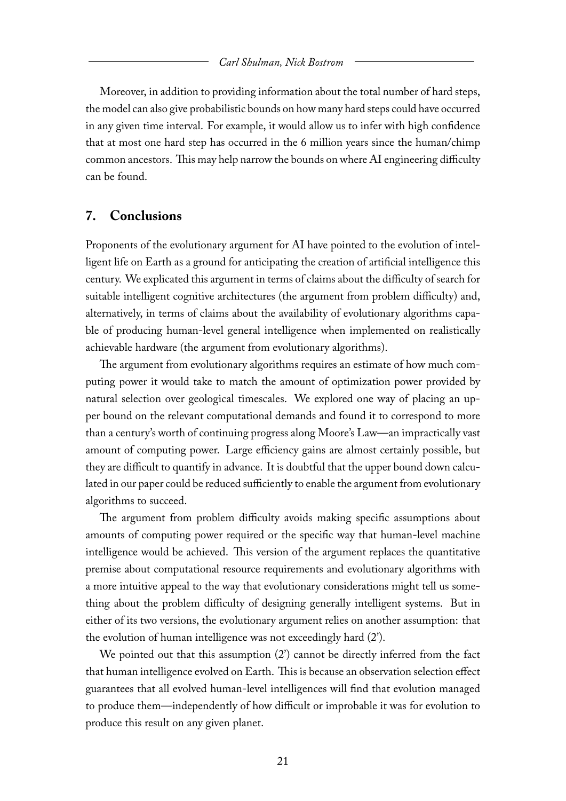Moreover, in addition to providing information about the total number of hard steps, the model can also give probabilistic bounds on how many hard steps could have occurred in any given time interval. For example, it would allow us to infer with high confidence that at most one hard step has occurred in the 6 million years since the human/chimp common ancestors. This may help narrow the bounds on where AI engineering difficulty can be found.

#### **7. Conclusions**

Proponents of the evolutionary argument for AI have pointed to the evolution of intelligent life on Earth as a ground for anticipating the creation of artificial intelligence this century. We explicated this argument in terms of claims about the difficulty of search for suitable intelligent cognitive architectures (the argument from problem difficulty) and, alternatively, in terms of claims about the availability of evolutionary algorithms capable of producing human-level general intelligence when implemented on realistically achievable hardware (the argument from evolutionary algorithms).

The argument from evolutionary algorithms requires an estimate of how much computing power it would take to match the amount of optimization power provided by natural selection over geological timescales. We explored one way of placing an upper bound on the relevant computational demands and found it to correspond to more than a century's worth of continuing progress along Moore's Law—an impractically vast amount of computing power. Large efficiency gains are almost certainly possible, but they are difficult to quantify in advance. It is doubtful that the upper bound down calculated in our paper could be reduced sufficiently to enable the argument from evolutionary algorithms to succeed.

The argument from problem difficulty avoids making specific assumptions about amounts of computing power required or the specific way that human-level machine intelligence would be achieved. This version of the argument replaces the quantitative premise about computational resource requirements and evolutionary algorithms with a more intuitive appeal to the way that evolutionary considerations might tell us something about the problem difficulty of designing generally intelligent systems. But in either of its two versions, the evolutionary argument relies on another assumption: that the evolution of human intelligence was not exceedingly hard (2').

We pointed out that this assumption (2') cannot be directly inferred from the fact that human intelligence evolved on Earth. This is because an observation selection effect guarantees that all evolved human-level intelligences will find that evolution managed to produce them—independently of how difficult or improbable it was for evolution to produce this result on any given planet.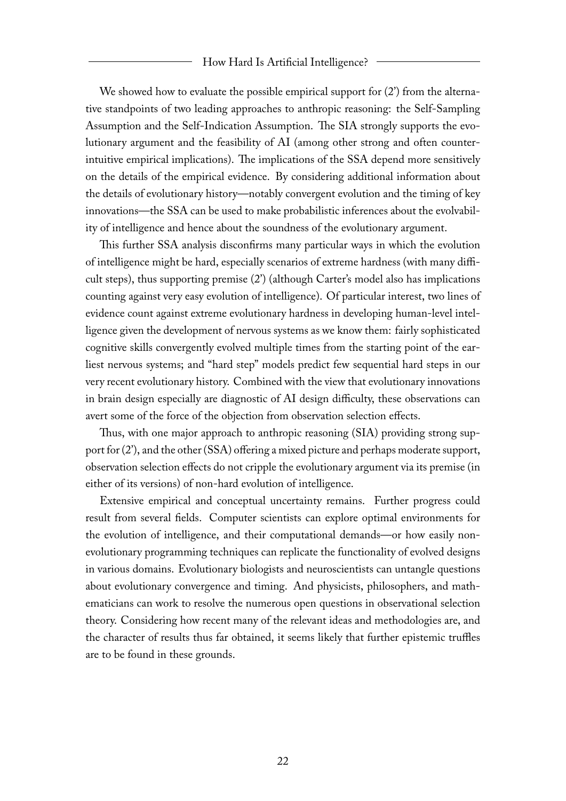We showed how to evaluate the possible empirical support for  $(2')$  from the alternative standpoints of two leading approaches to anthropic reasoning: the Self-Sampling Assumption and the Self-Indication Assumption. The SIA strongly supports the evolutionary argument and the feasibility of AI (among other strong and often counterintuitive empirical implications). The implications of the SSA depend more sensitively on the details of the empirical evidence. By considering additional information about the details of evolutionary history—notably convergent evolution and the timing of key innovations—the SSA can be used to make probabilistic inferences about the evolvability of intelligence and hence about the soundness of the evolutionary argument.

This further SSA analysis disconfirms many particular ways in which the evolution of intelligence might be hard, especially scenarios of extreme hardness (with many difficult steps), thus supporting premise (2') (although Carter's model also has implications counting against very easy evolution of intelligence). Of particular interest, two lines of evidence count against extreme evolutionary hardness in developing human-level intelligence given the development of nervous systems as we know them: fairly sophisticated cognitive skills convergently evolved multiple times from the starting point of the earliest nervous systems; and "hard step" models predict few sequential hard steps in our very recent evolutionary history. Combined with the view that evolutionary innovations in brain design especially are diagnostic of AI design difficulty, these observations can avert some of the force of the objection from observation selection effects.

Thus, with one major approach to anthropic reasoning (SIA) providing strong support for (2'), and the other (SSA) offering a mixed picture and perhaps moderate support, observation selection effects do not cripple the evolutionary argument via its premise (in either of its versions) of non-hard evolution of intelligence.

Extensive empirical and conceptual uncertainty remains. Further progress could result from several fields. Computer scientists can explore optimal environments for the evolution of intelligence, and their computational demands—or how easily nonevolutionary programming techniques can replicate the functionality of evolved designs in various domains. Evolutionary biologists and neuroscientists can untangle questions about evolutionary convergence and timing. And physicists, philosophers, and mathematicians can work to resolve the numerous open questions in observational selection theory. Considering how recent many of the relevant ideas and methodologies are, and the character of results thus far obtained, it seems likely that further epistemic truffles are to be found in these grounds.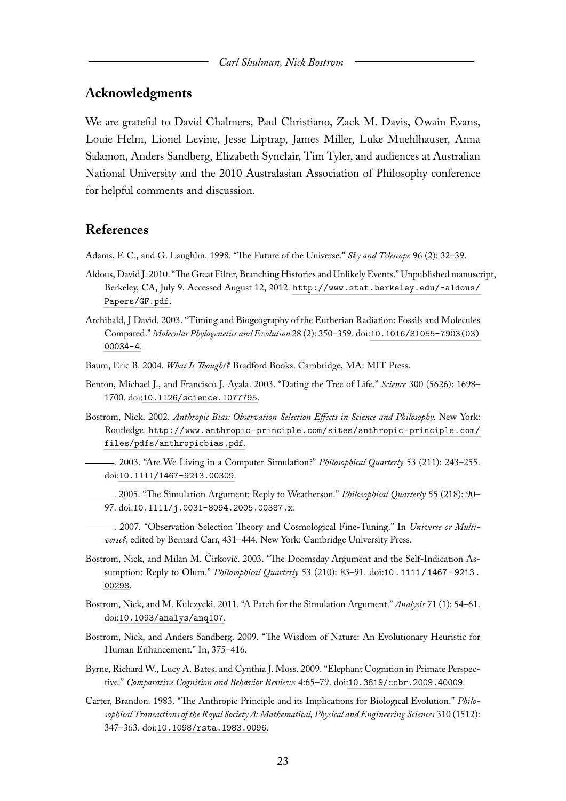#### **Acknowledgments**

We are grateful to David Chalmers, Paul Christiano, Zack M. Davis, Owain Evans, Louie Helm, Lionel Levine, Jesse Liptrap, James Miller, Luke Muehlhauser, Anna Salamon, Anders Sandberg, Elizabeth Synclair, Tim Tyler, and audiences at Australian National University and the 2010 Australasian Association of Philosophy conference for helpful comments and discussion.

## **References**

- <span id="page-23-12"></span>Adams, F. C., and G. Laughlin. 1998. "The Future of the Universe." *Sky and Telescope* 96 (2): 32–39.
- <span id="page-23-13"></span>Aldous, David J. 2010. "The Great Filter, Branching Histories and Unlikely Events." Unpublished manuscript, Berkeley, CA, July 9. Accessed August 12, 2012. [http://www.stat.berkeley.edu/~aldous/](http://www.stat.berkeley.edu/~aldous/Papers/GF.pdf) [Papers/GF.pdf](http://www.stat.berkeley.edu/~aldous/Papers/GF.pdf).
- <span id="page-23-10"></span>Archibald, J David. 2003. "Timing and Biogeography of the Eutherian Radiation: Fossils and Molecules Compared." *Molecular Phylogenetics and Evolution* 28 (2): 350–359. doi:[10.1016/S1055-7903\(03\)](http://dx.doi.org/10.1016/S1055-7903(03)00034-4) [00034-4](http://dx.doi.org/10.1016/S1055-7903(03)00034-4).
- <span id="page-23-0"></span>Baum, Eric B. 2004. *What Is Thought?* Bradford Books. Cambridge, MA: MIT Press.
- <span id="page-23-9"></span>Benton, Michael J., and Francisco J. Ayala. 2003. "Dating the Tree of Life." *Science* 300 (5626): 1698– 1700. doi:[10.1126/science.1077795](http://dx.doi.org/10.1126/science.1077795).
- <span id="page-23-6"></span><span id="page-23-4"></span>Bostrom, Nick. 2002. *Anthropic Bias: Observation Selection Effects in Science and Philosophy.* New York: Routledge. [http://www.anthropic-principle.com/sites/anthropic-principle.com/](http://www.anthropic-principle.com/sites/anthropic-principle.com/files/pdfs/anthropicbias.pdf) [files/pdfs/anthropicbias.pdf](http://www.anthropic-principle.com/sites/anthropic-principle.com/files/pdfs/anthropicbias.pdf).
	- . 2003. "Are We Living in a Computer Simulation?" *Philosophical Quarterly* 53 (211): 243–255. doi:[10.1111/1467-9213.00309](http://dx.doi.org/10.1111/1467-9213.00309).
	- . 2005. "The Simulation Argument: Reply to Weatherson." *Philosophical Quarterly* 55 (218): 90– 97. doi:[10.1111/j.0031-8094.2005.00387.x](http://dx.doi.org/10.1111/j.0031-8094.2005.00387.x).
	- . 2007. "Observation Selection Theory and Cosmological Fine-Tuning." In *Universe or Multiverse?,* edited by Bernard Carr, 431–444. New York: Cambridge University Press.
- <span id="page-23-8"></span><span id="page-23-5"></span><span id="page-23-2"></span>Bostrom, Nick, and Milan M. Ćirković. 2003. "The Doomsday Argument and the Self-Indication Assumption: Reply to Olum." *Philosophical Quarterly* 53 (210): 83–91. doi:[10.1111/1467- 9213.](http://dx.doi.org/10.1111/1467-9213.00298) [00298](http://dx.doi.org/10.1111/1467-9213.00298).
- <span id="page-23-7"></span>Bostrom, Nick, and M. Kulczycki. 2011. "A Patch for the Simulation Argument." *Analysis* 71 (1): 54–61. doi:[10.1093/analys/anq107](http://dx.doi.org/10.1093/analys/anq107).
- <span id="page-23-1"></span>Bostrom, Nick, and Anders Sandberg. 2009. "The Wisdom of Nature: An Evolutionary Heuristic for Human Enhancement." In, 375–416.
- <span id="page-23-11"></span>Byrne, Richard W., Lucy A. Bates, and Cynthia J. Moss. 2009. "Elephant Cognition in Primate Perspective." *Comparative Cognition and Behavior Reviews* 4:65–79. doi:[10.3819/ccbr.2009.40009](http://dx.doi.org/10.3819/ccbr.2009.40009).
- <span id="page-23-3"></span>Carter, Brandon. 1983. "The Anthropic Principle and its Implications for Biological Evolution." *Philosophical Transactions of the Royal Society A: Mathematical, Physical and Engineering Sciences* 310 (1512): 347–363. doi:[10.1098/rsta.1983.0096](http://dx.doi.org/10.1098/rsta.1983.0096).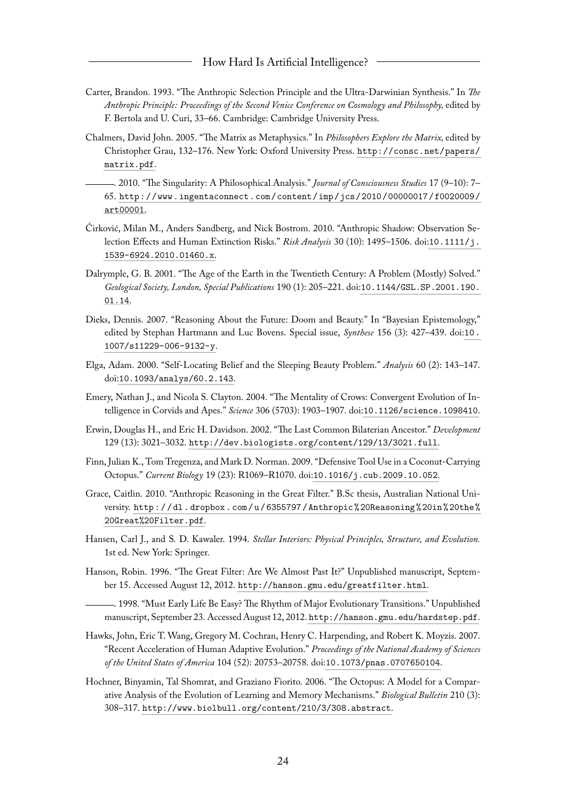- <span id="page-24-13"></span>Carter, Brandon. 1993. "The Anthropic Selection Principle and the Ultra-Darwinian Synthesis." In *The Anthropic Principle: Proceedings of the Second Venice Conference on Cosmology and Philosophy,* edited by F. Bertola and U. Curi, 33–66. Cambridge: Cambridge University Press.
- <span id="page-24-6"></span>Chalmers, David John. 2005. "The Matrix as Metaphysics." In *Philosophers Explore the Matrix,* edited by Christopher Grau, 132–176. New York: Oxford University Press. [http://consc.net/papers/](http://consc.net/papers/matrix.pdf) [matrix.pdf](http://consc.net/papers/matrix.pdf).
- <span id="page-24-0"></span>. 2010. "The Singularity: A Philosophical Analysis." *Journal of Consciousness Studies* 17 (9–10): 7– 65. [http://www.ingentaconnect.com/content/imp/jcs/2010/00000017/f0020009/](http://www.ingentaconnect.com/content/imp/jcs/2010/00000017/f0020009/art00001) [art00001](http://www.ingentaconnect.com/content/imp/jcs/2010/00000017/f0020009/art00001).
- <span id="page-24-11"></span>Ćirković, Milan M., Anders Sandberg, and Nick Bostrom. 2010. "Anthropic Shadow: Observation Selection Effects and Human Extinction Risks." *Risk Analysis* 30 (10): 1495–1506. doi:[10.1111/j.](http://dx.doi.org/10.1111/j.1539-6924.2010.01460.x) [1539-6924.2010.01460.x](http://dx.doi.org/10.1111/j.1539-6924.2010.01460.x).
- <span id="page-24-12"></span>Dalrymple, G. B. 2001. "The Age of the Earth in the Twentieth Century: A Problem (Mostly) Solved." *Geological Society, London, Special Publications* 190 (1): 205–221. doi:[10.1144/GSL.SP.2001.190.](http://dx.doi.org/10.1144/GSL.SP.2001.190.01.14) [01.14](http://dx.doi.org/10.1144/GSL.SP.2001.190.01.14).
- <span id="page-24-4"></span>Dieks, Dennis. 2007. "Reasoning About the Future: Doom and Beauty." In "Bayesian Epistemology," edited by Stephan Hartmann and Luc Bovens. Special issue, *Synthese* 156 (3): 427–439. doi:[10.](http://dx.doi.org/10.1007/s11229-006-9132-y) [1007/s11229-006-9132-y](http://dx.doi.org/10.1007/s11229-006-9132-y).
- <span id="page-24-3"></span>Elga, Adam. 2000. "Self-Locating Belief and the Sleeping Beauty Problem." *Analysis* 60 (2): 143–147. doi:[10.1093/analys/60.2.143](http://dx.doi.org/10.1093/analys/60.2.143).
- <span id="page-24-10"></span>Emery, Nathan J., and Nicola S. Clayton. 2004. "The Mentality of Crows: Convergent Evolution of Intelligence in Corvids and Apes." *Science* 306 (5703): 1903–1907. doi:[10.1126/science.1098410](http://dx.doi.org/10.1126/science.1098410).
- <span id="page-24-7"></span>Erwin, Douglas H., and Eric H. Davidson. 2002. "The Last Common Bilaterian Ancestor." *Development* 129 (13): 3021–3032. <http://dev.biologists.org/content/129/13/3021.full>.
- <span id="page-24-8"></span>Finn, Julian K., Tom Tregenza, and Mark D. Norman. 2009. "Defensive Tool Use in a Coconut-Carrying Octopus." *Current Biology* 19 (23): R1069–R1070. doi:[10.1016/j.cub.2009.10.052](http://dx.doi.org/10.1016/j.cub.2009.10.052).
- <span id="page-24-2"></span>Grace, Caitlin. 2010. "Anthropic Reasoning in the Great Filter." B.Sc thesis, Australian National University. [http : / / dl . dropbox . com / u / 6355797 / Anthropic % 20Reasoning % 20in % 20the %](http://dl.dropbox.com/u/6355797/Anthropic%20Reasoning%20in%20the%20Great%20Filter.pdf) [20Great%20Filter.pdf](http://dl.dropbox.com/u/6355797/Anthropic%20Reasoning%20in%20the%20Great%20Filter.pdf).
- <span id="page-24-14"></span>Hansen, Carl J., and S. D. Kawaler. 1994. *Stellar Interiors: Physical Principles, Structure, and Evolution.* 1st ed. New York: Springer.
- <span id="page-24-15"></span><span id="page-24-5"></span>Hanson, Robin. 1996. "The Great Filter: Are We Almost Past It?" Unpublished manuscript, September 15. Accessed August 12, 2012. <http://hanson.gmu.edu/greatfilter.html>.
	- . 1998. "Must Early Life Be Easy? The Rhythm of Major Evolutionary Transitions." Unpublished manuscript, September 23. Accessed August 12, 2012. <http://hanson.gmu.edu/hardstep.pdf>.
- <span id="page-24-1"></span>Hawks, John, Eric T. Wang, Gregory M. Cochran, Henry C. Harpending, and Robert K. Moyzis. 2007. "Recent Acceleration of Human Adaptive Evolution." *Proceedings of the National Academy of Sciences of the United States of America* 104 (52): 20753–20758. doi:[10.1073/pnas.0707650104](http://dx.doi.org/10.1073/pnas.0707650104).
- <span id="page-24-9"></span>Hochner, Binyamin, Tal Shomrat, and Graziano Fiorito. 2006. "The Octopus: A Model for a Comparative Analysis of the Evolution of Learning and Memory Mechanisms." *Biological Bulletin* 210 (3): 308–317. <http://www.biolbull.org/content/210/3/308.abstract>.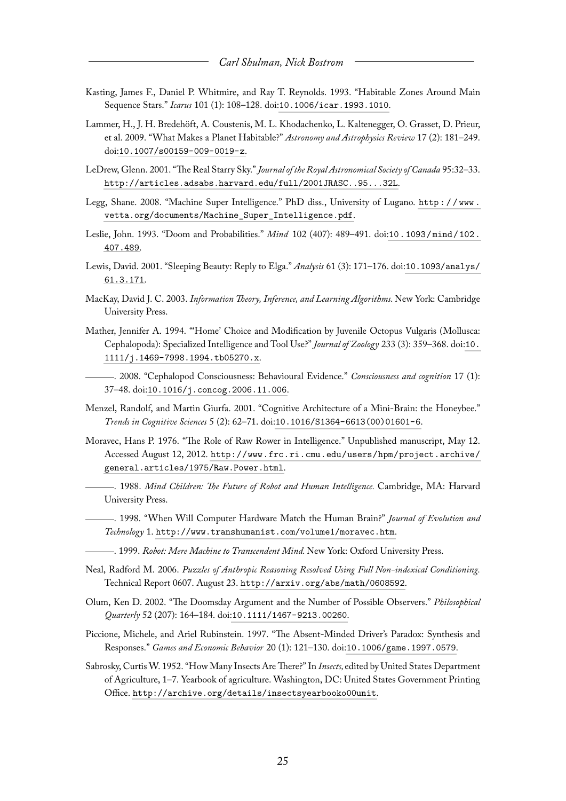- <span id="page-25-15"></span>Kasting, James F., Daniel P. Whitmire, and Ray T. Reynolds. 1993. "Habitable Zones Around Main Sequence Stars." *Icarus* 101 (1): 108–128. doi:[10.1006/icar.1993.1010](http://dx.doi.org/10.1006/icar.1993.1010).
- <span id="page-25-16"></span>Lammer, H., J. H. Bredehöft, A. Coustenis, M. L. Khodachenko, L. Kaltenegger, O. Grasset, D. Prieur, et al. 2009. "What Makes a Planet Habitable?" *Astronomy and Astrophysics Review* 17 (2): 181–249. doi:[10.1007/s00159-009-0019-z](http://dx.doi.org/10.1007/s00159-009-0019-z).
- <span id="page-25-17"></span>LeDrew, Glenn. 2001. "The Real Starry Sky." *Journal of the Royal Astronomical Society of Canada* 95:32–33. <http://articles.adsabs.harvard.edu/full/2001JRASC..95...32L>.
- <span id="page-25-5"></span>Legg, Shane. 2008. "Machine Super Intelligence." PhD diss., University of Lugano. [http : / / www .](http://www.vetta.org/documents/Machine_Super_Intelligence.pdf) [vetta.org/documents/Machine\\_Super\\_Intelligence.pdf](http://www.vetta.org/documents/Machine_Super_Intelligence.pdf).
- <span id="page-25-10"></span>Leslie, John. 1993. "Doom and Probabilities." *Mind* 102 (407): 489–491. doi:[10.1093/mind/102.](http://dx.doi.org/10.1093/mind/102.407.489) [407.489](http://dx.doi.org/10.1093/mind/102.407.489).
- <span id="page-25-8"></span>Lewis, David. 2001. "Sleeping Beauty: Reply to Elga." *Analysis* 61 (3): 171–176. doi:[10.1093/analys/](http://dx.doi.org/10.1093/analys/61.3.171) [61.3.171](http://dx.doi.org/10.1093/analys/61.3.171).
- <span id="page-25-4"></span>MacKay, David J. C. 2003. *Information Theory, Inference, and Learning Algorithms.* New York: Cambridge University Press.
- <span id="page-25-13"></span>Mather, Jennifer A. 1994. "'Home' Choice and Modification by Juvenile Octopus Vulgaris (Mollusca: Cephalopoda): Specialized Intelligence and Tool Use?" *Journal of Zoology* 233 (3): 359–368. doi:[10.](http://dx.doi.org/10.1111/j.1469-7998.1994.tb05270.x) [1111/j.1469-7998.1994.tb05270.x](http://dx.doi.org/10.1111/j.1469-7998.1994.tb05270.x).
- <span id="page-25-14"></span>. 2008. "Cephalopod Consciousness: Behavioural Evidence." *Consciousness and cognition* 17 (1): 37–48. doi:[10.1016/j.concog.2006.11.006](http://dx.doi.org/10.1016/j.concog.2006.11.006).
- <span id="page-25-7"></span>Menzel, Randolf, and Martin Giurfa. 2001. "Cognitive Architecture of a Mini-Brain: the Honeybee." *Trends in Cognitive Sciences* 5 (2): 62–71. doi:[10.1016/S1364-6613\(00\)01601-6](http://dx.doi.org/10.1016/S1364-6613(00)01601-6).
- <span id="page-25-1"></span><span id="page-25-0"></span>Moravec, Hans P. 1976. "The Role of Raw Rower in Intelligence." Unpublished manuscript, May 12. Accessed August 12, 2012. [http://www.frc.ri.cmu.edu/users/hpm/project.archive/](http://www.frc.ri.cmu.edu/users/hpm/project.archive/general.articles/1975/Raw.Power.html) [general.articles/1975/Raw.Power.html](http://www.frc.ri.cmu.edu/users/hpm/project.archive/general.articles/1975/Raw.Power.html).
	- . 1988. *Mind Children: The Future of Robot and Human Intelligence.* Cambridge, MA: Harvard University Press.
	- . 1998. "When Will Computer Hardware Match the Human Brain?" *Journal of Evolution and Technology* 1. <http://www.transhumanist.com/volume1/moravec.htm>.
- <span id="page-25-3"></span><span id="page-25-2"></span>. 1999. *Robot: Mere Machine to Transcendent Mind.* New York: Oxford University Press.
- <span id="page-25-12"></span>Neal, Radford M. 2006. *Puzzles of Anthropic Reasoning Resolved Using Full Non-indexical Conditioning.* Technical Report 0607. August 23. <http://arxiv.org/abs/math/0608592>.
- <span id="page-25-11"></span>Olum, Ken D. 2002. "The Doomsday Argument and the Number of Possible Observers." *Philosophical Quarterly* 52 (207): 164–184. doi:[10.1111/1467-9213.00260](http://dx.doi.org/10.1111/1467-9213.00260).
- <span id="page-25-9"></span>Piccione, Michele, and Ariel Rubinstein. 1997. "The Absent-Minded Driver's Paradox: Synthesis and Responses." *Games and Economic Behavior* 20 (1): 121–130. doi:[10.1006/game.1997.0579](http://dx.doi.org/10.1006/game.1997.0579).
- <span id="page-25-6"></span>Sabrosky, Curtis W. 1952. "How Many Insects Are There?" In *Insects,* edited by United States Department of Agriculture, 1–7. Yearbook of agriculture. Washington, DC: United States Government Printing Office. <http://archive.org/details/insectsyearbooko00unit>.